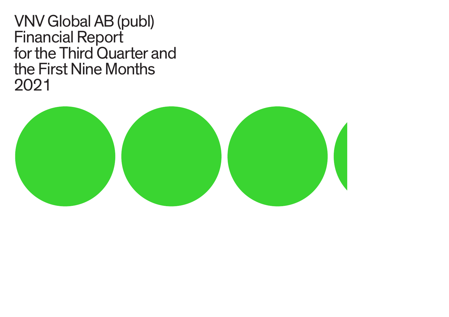VNV Global AB (publ) Financial Report for the Third Quarter and the First Nine Months 2021

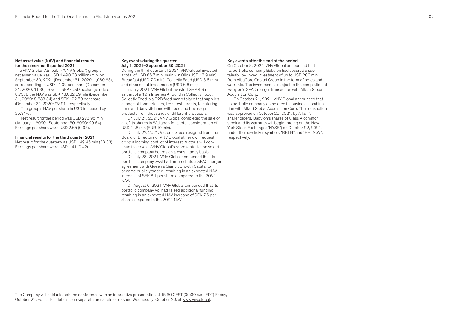### Net asset value (NAV) and financial results for the nine-month period 2021

The VNV Global AB (publ) ("VNV Global") group's net asset value was USD 1,490.38 million (mln) on September 30, 2021 (December 31, 2020: 1,080.23), corresponding to USD 14.02 per share (December 31, 2020: 11.36). Given a SEK/USD exchange rate of 8.7378 the NAV was SEK 13,022.59 mln (December 31, 2020: 8,833.34) and SEK 122.50 per share (December 31, 2020: 92.91), respectively.

The group's NAV per share in USD increased by 25.31%.

Net result for the period was USD 276.95 mln (January 1, 2020–September 30, 2020: 29.64). Earnings per share were USD 2.65 (0.35).

### Financial results for the third quarter 2021

Net result for the quarter was USD 149.45 mln (38.33). Earnings per share were USD 1.41 (0.42).

### Key events during the quarter July 1, 2021–September 30, 2021

During the third quarter of 2021, VNV Global invested a total of USD 65.7 mln, mainly in Olio (USD 13.9 mln), Breadfast (USD 7.0 mln), Collectiv Food (USD 6.8 mln) and other scout investments (USD 6.6 mln).

In July 2021, VNV Global invested GBP 4.9 mln as part of a 12 mln series A round in Collectiv Food. Collectiv Food is a B2B food marketplace that supplies a range of food retailers, from restaurants, to catering firms and dark kitchens with food and beverage products from thousands of different producers.

On July 21, 2021, VNV Global completed the sale of all of its shares in Wallapop for a total consideration of USD 11.8 mln (EUR 10 mln).

On July 27, 2021, Victoria Grace resigned from the Board of Directors of VNV Global at her own request, citing a looming conflict of interest. Victoria will continue to serve as VNV Global's representative on select portfolio company boards on a consultancy basis.

On July 28, 2021, VNV Global announced that its portfolio company Swvl had entered into a SPAC merger agreement with Queen's Gambit Growth Capital to become publicly traded, resulting in an expected NAV increase of SEK 8.1 per share compared to the 2Q21 NAV.

On August 6, 2021, VNV Global announced that its portfolio company Voi had raised additional funding, resulting in an expected NAV increase of SEK 7.6 per share compared to the 2Q21 NAV.

### Key events after the end of the period

On October 8, 2021, VNV Global announced that its portfolio company Babylon had secured a sustainability-linked investment of up to USD 200 mln from AlbaCore Capital Group in the form of notes and warrants. The investment is subject to the completion of Babylon's SPAC merger transaction with Alkuri Global Acquisition Corp.

On October 21, 2021, VNV Global announced that its portfolio company completed its business combination with Alkuri Global Acquisition Corp. The transaction was approved on October 20, 2021, by Alkuri's shareholders. Babylon's shares of Class A common stock and its warrants will begin trading on the New York Stock Exchange ("NYSE") on October 22, 2021, under the new ticker symbols "BBLN" and "BBLN.W", respectively.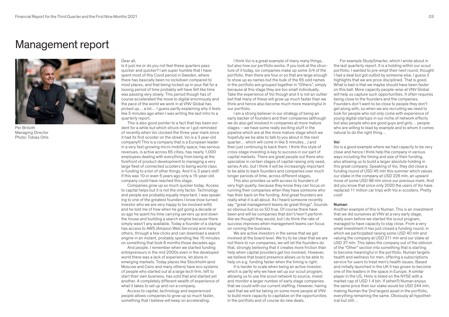# Management report



Per Brilioth Managing Director Photo: Tobias Ohls

#### Dear all,

Is it just me or do you not feel these quarters pass quicker and quicker? I am super humble that I have spent most of this Covid period in Sweden, where there has basically been no lockdown compared to most places, and that being locked up in your flat for a looong period of time probably will have felt like time was passing very slowly. This period though has of course accelerated the move to digital enormously and the pace of the world we work in at VNV Global has picked up… a lot… I guess partly explaining why it feels like 5 minutes ago when I was writing the last intro to a quarterly report.

This is also good pointer to a fact that has been evident for a while but which struck me or Lgot reminded of recently when Voi clocked the three-year mark since it had its first scooter on the street. Voi is a 3 year-old company!!! This is a company that is a European leader in a very fast-growing micro mobility space, has serious revenues, is active across 65 cities, has nearly 1,000 employees dealing with everything from being at the forefront of product development to managing a very large fleet of connected scooters to being world class in funding to a ton of other things. And it is 3 years old!! If this was 10 or even 5 years ago only a 15-year-old company could have reached this stage.

Companies grow up so much quicker today. Access to capital helps but it is not the only factor. Technology and people are probably equally important. I was speaking to one of the greatest founders I know (now turned investor who we are very happy to be involved with) and he told me of how when he got going a decade or so ago he spent his time carrying servers up and down the house and building a search engine because there simply wasn't any available. Today a founder of a startup has access to AWS (Amazon Web Services) and many others, through a few clicks and can download a search engine in an instant, probably spending like 15 minutes on something that took 6 months those decades ago.

And people. I remember when we started funding entrepreneurs in the mid 2000s even in the developed world there was a lack of experience, let alone in emerging markets. Today places like Stockholm (and Moscow and Cairo and many others) have eco systems of people who started out at a large tech firm, left to start their own business, has sold that and started yet another. A completely different wealth of experience of what it takes to set up and run a company.

Access to capital, technology and experienced people allows companies to grow up so much faster, something that I believe will keep on accelerating.

I think Voi is a great example of many many things, but also how our portfolio works. If you look at the structure of it today, six companies make up some 3/4 of the portfolio, then there are four or so that are large enough to show up as names but the bulk of the 65 odd names in the portfolio are grouped together in "Others", simply because at this stage they are too small individually. Take the experience of Voi though and it is not an outlier bet that many of these will grow up much faster than we think and hence also become much more meaningful in our portfolio.

I am a strong believer in our strategy of being an early backer of founders and their companies (although we do also get involved in companies at more mature stages – we have some really exciting stuff in the pipeline which are at the more mature stage which we hopefully we be able to talk to you about in the next quarter… which will come in like 5 minutes…) and then just continuing to back them. I think this style of cross-stage investing is key to success in our part of capital markets. There are great people out there who specialize in certain stages of capital raising only seed, series A etc. but I think it will be increasingly important to be able to back founders and companies over much longer periods of time, across different stages.

This also provides us with access to founders of very high quality, because they know they can focus on running their companies when they have someone who has their back on the funding. And great founders are really what it is all about. As I heard someone recently say: "great management teams do great things". Sounds so obvious but so so SO true. Of course there have been and will be companies that don't/won't perform like we thought they would, but I do think the rate of success improves when management teams can focus on running the business.

We are active investors in the sense that we get involved at the board level. We try to be clear that we are not there to run companies, we will let the founders do that, strongly believing that it creates more friction than help when capital providers get too involved. However, we believe that board presence allows us to be able to help on e.g. funding faster when the timing is right.

It is harder to scale when being an active investor, which is partly why we have set up our scout program, allowing us to use the scout network to source, invest and monitor a larger number of early stage companies that we could with our current staffing. However, having said that we will be taking on some more people at VNV to build more capacity to capitalize on the opportunities in the portfolio and of course do new deals.

For example StudySmarter, which I wrote about in the last quarterly report. It is a holding within our scout portfolio. I wanted to pre-empt their next round, thought I had a deal but got outbid by someone else. I guess it highlights that we are price disciplined. That is good. What is bad is that we maybe should have been faster on this ball. More capacity people-wise at VNV Global will help us capture such opportunities. It often requires being close to the founders and the companies. Founders don't want to be close to people they don't get along with, so when we are recruiting we need to look for people who not only come with experience of young digital startups in our niche of network effects but also people who are good guys and girls… people who are willing to lead by example and to whom it comes natural to do the right thing…

#### Voi

Voi is a good example where we had capacity to be very close and hence I think help the company in various ways including the timing and size of their funding, also allowing us to build a larger absolute holding in this great company. Speaking of Voi, they did close a funding round of USD 45 mln this summer which values our stake in the company at USD 226 mln, an upward move of some USD 98 mln since our previous mark. And did you know that since only 2020 the users of Voi have replaced 11 million car trips with Voi e-scooters. Pretty cool!

### Numan

Another example of this is Numan. This is an investment that we did ourselves at VNV at a very early stage, really even before we started the scout program, managed to have capacity to stay close. From a very small investment it has just closed a funding round, in which we participated raising some USD 40 mln and valuing the company at USD 211 mln and our stake at USD 37 mln. This takes the company out of the oblivion of the "Other" section into something that is starting to become meaningful in the portfolio. Numan targets health and wellness for men, offering a subscriptions service for users to treat men's health issues. Based and initially launched in the UK it has grown to become one of the leaders in the space in Europe. A similar player in the US, Hims is listed on the NYSE with a market cap of USD 1.4 bln. If (when?) Numan enjoys the same price then our stake would be USD 244 mln, making Numan the 2nd largest asset in the portfolio, everything remaining the same. Obviously all hypothetical but still…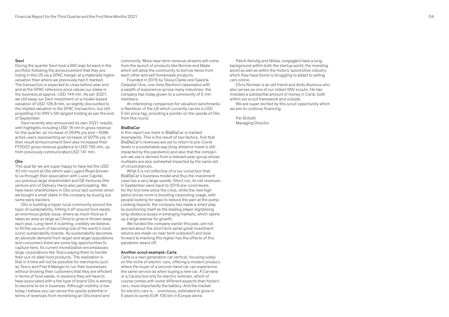# Swvl

During the quarter Swvl took a BIG leap forward in the portfolio following the announcement that they are listing in the US via a SPAC merger at a materially higher valuation than where we previously had it marked. The transaction is expected to close before year end and at the SPAC reference price values our stake in the business at approx. USD 144 mln. As per 3Q21, we still keep our Swvl investment on a model-based valuation of USD 126.8 mln, so slightly discounted to the implied valuation in the SPAC transaction, but still propelling it to VNV's 5th largest holding as per the end of September.

Swvl recently also announced its own 3Q21 results, with highlights including USD 16 mln in gross revenue for the quarter, an increase of 264% yoy and ~508k active users representing an increase of 207% yoy. In their result announcement Swvl also increased their FY2022 gross revenue guidance to USD 155 mln, up from previously communicated USD 141 mln.

### Olio

This quarter we are super happy to have led the USD 43 mln round at Olio which saw Lugard Road (known to us through their association with Luxor Capital, our previous large shareholder) and DX Ventures (the venture arm of Delivery Hero) also participating. We have been shareholders in Olio since last summer when we bought a small stake in the company by buying out some early backers.

Olio is building a hyper local community around the topic of sustainability, hitting it off around food waste, an enormous global issue, where as much food as it takes an area as large as China to grow is thrown away each year. Long-term it is aiming, credibly we believe, to fill the vacuum of becoming one of the world's most iconic sustainability brands. As sustainability becomes an absolute demand from larger and larger populations and consumers there are some big opportunities to capture here. Its current monetization encompasses large corporations like Tesco paying them to handle their out-of-date food products. The realization is that in it time will not be possible for merchants such as Tesco and Pret A Manger to run their businesses without showing their customers that they are efficient in terms of food waste, in essence they will have to have associated with a the type of brand Olio is aiming to become to be in business. Although visibility is low today I believe you can sense the upside potential in terms of revenues from monetizing an Olio brand and

community. More near-term revenue streams will come from the launch of products like Borrow and Made which will allow the community to borrow items from each other and sell homemade products.

Founded in 2015 by Tessa Clarke and Saasha Celastial-One, one-time Stanford classmates with a wealth of experience across many industries, the company has today grown to a community of 5 mln members.

An interesting comparison for valuation benchmarks is Nextdoor of the US which currently carries a USD 5 bln price tag, providing a pointer on the upside of Olio from this round.

#### BlaBlaCar

In this report our mark in BlaBlaCar is marked downwards. This is the result of two factors, first that BlaBlaCar's revenues are yet to return to pre-Covid levels in a sustainable way (long distance travel is still impacted by this pandemic) and also that the comparison we use is derived from a relevant peer group whose multiples are also somewhat impacted by the same set of circumstances.

What it is not reflective of is our conviction that BlaBlaCar's business model and thus the investment case has a very large upside. Short run, its net revenues in September were back to 2019 pre-covid levels for the first time since the crisis, while the new high petrol prices norm is boosting carpooling usage, with people looking for ways to reduce the pain at the pump. Looking beyond, the company has made a smart play by positioning itself as the leading player digitalising long-distance buses in emerging markets, which opens up a large avenue for growth.

We funded the company earlier this year, are not worried about the short term (what great investment returns are made on near term outlooks?) and look forward to marking this higher has the effects of this pandemic wears off.

#### Another scout example: Carla

Carla is a next generation car vertical, focusing solely on the niche of electric cars, offering a modern product, where the buyer of a second-hand car can experience the same service as when buying a new car. A Carvana or a Carzoo but only for electric vehicles, which of course comes with some different aspects than historic cars, most importantly the battery. And the market for electric cars is… enormous, estimated to grow in 5 years to some EUR 100 bln in Europe alone.

Patrik Illerstig and Niklas Jungegård have a long background within both the startup world, the investing world as well as within the historic automotive industry which they have found is struggling to adapt to selling cars online.

Chris Norman is an old friend and Avito Alumnus who also serves as one of our oldest VNV scouts. He has invested a substantial amount of money in Carla, both within our scout framework and outside.

We are super excited by this scout opportunity which we aim to continue financing.

Per Brilioth Managing Director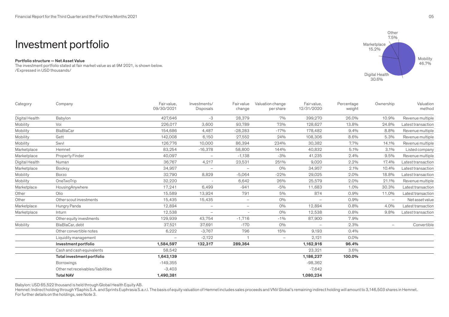# Investment portfolio

# Portfolio structure — Net Asset Value

The investment portfolio stated at fair market value as at 9M 2021, is shown below. /Expressed in USD thousands/



Babylon: USD 65,522 thousand is held through Global Health Equity AB.

Hemnet: Indirect holding through YSaphis S.A. and Sprints Euphrasia S.a.r.l. The basis of equity valuation of Hemnet includes sales proceeds and VNV Global's remaining indirect holding will amount to 3,146,503 shares in He For further details on the holdings, see Note 3.

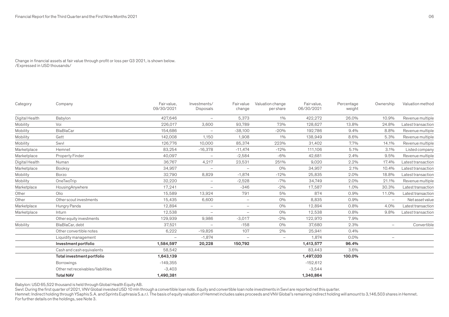# Change in financial assets at fair value through profit or loss per Q3 2021, is shown below. /Expressed in USD thousands/

| Category       | Company                           | Fair value,<br>09/30/2021 | Investments/<br>Disposals | <b>Fair value</b><br>change | Valuation change<br>per share | Fair value,<br>06/30/2021 | Percentage<br>weight | Ownership                | Valuation method   |
|----------------|-----------------------------------|---------------------------|---------------------------|-----------------------------|-------------------------------|---------------------------|----------------------|--------------------------|--------------------|
| Digital Health | Babylon                           | 427.646                   | $\overline{\phantom{0}}$  | 5.373                       | 1%                            | 422,272                   | 26.0%                | 10.9%                    | Revenue multiple   |
| Mobility       | Voi                               | 226,017                   | 3,600                     | 93,789                      | 73%                           | 128,627                   | 13.8%                | 24.8%                    | Latest transaction |
| Mobility       | BlaBlaCar                         | 154,686                   | $\overline{\phantom{0}}$  | $-38,100$                   | $-20%$                        | 192,786                   | 9.4%                 | 8.8%                     | Revenue multiple   |
| Mobility       | Gett                              | 142,008                   | 1,150                     | 1,908                       | 1%                            | 138,949                   | 8.6%                 | 5.3%                     | Revenue multiple   |
| Mobility       | Swyl                              | 126,776                   | 10,000                    | 85,374                      | 223%                          | 31,402                    | 7.7%                 | 14.1%                    | Revenue multiple   |
| Marketplace    | Hemnet                            | 83,254                    | $-16,378$                 | $-11,474$                   | $-12%$                        | 111,106                   | 5.1%                 | 3.1%                     | Listed company     |
| Marketplace    | Property Finder                   | 40,097                    | $\overline{\phantom{0}}$  | $-2,584$                    | $-6%$                         | 42,681                    | 2.4%                 | 9.5%                     | Revenue multiple   |
| Digital Health | Numan                             | 36,767                    | 4,217                     | 23,531                      | 251%                          | 9,020                     | $2.2\%$              | 17.4%                    | Latest transaction |
| Marketplace    | Booksy                            | 34,957                    | $\overline{\phantom{0}}$  | $\overline{\phantom{m}}$    | $O\%$                         | 34,957                    | 2.1%                 | 10.4%                    | Latest transaction |
| Mobility       | <b>Borzo</b>                      | 32,790                    | 8,829                     | $-1,874$                    | $-12%$                        | 25,835                    | $2.0\%$              | 18.8%                    | Latest transaction |
| Mobility       | OneTwoTrip                        | 32,220                    | $\overline{\phantom{0}}$  | $-2,528$                    | $-7%$                         | 34,749                    | 2.0%                 | 21.1%                    | Revenue multiple   |
| Marketplace    | HousingAnywhere                   | 17,241                    | $\overline{\phantom{0}}$  | $-346$                      | $-2%$                         | 17,587                    | 1.0%                 | 30.3%                    | Latest transaction |
| Other          | Olio                              | 15,589                    | 13,924                    | 791                         | 5%                            | 874                       | 0.9%                 | 11.0%                    | Latest transaction |
| Other          | Other scout investments           | 15,435                    | 6,600                     | $\overline{\phantom{0}}$    | $O\%$                         | 8,835                     | 0.9%                 | $\overline{\phantom{a}}$ | Net asset value    |
| Marketplace    | Hungry Panda                      | 12,894                    | $\overline{\phantom{0}}$  | $\overline{\phantom{0}}$    | $O\%$                         | 12,894                    | $0.8\%$              | 4.0%                     | Latest transaction |
| Marketplace    | Inturn                            | 12,538                    |                           | $\overline{\phantom{a}}$    | $O\%$                         | 12,538                    | 0.8%                 | 9.8%                     | Latest transaction |
|                | Other equity investments          | 129,939                   | 9,986                     | $-3,017$                    | $-2%$                         | 122,970                   | 7.9%                 |                          |                    |
| Mobility       | BlaBlaCar, debt                   | 37,521                    | $\overline{\phantom{0}}$  | $-158$                      | $O\%$                         | 37,680                    | 2.3%                 | $\overline{\phantom{m}}$ | Convertible        |
|                | Other convertible notes           | 6,222                     | $-19,826$                 | 107                         | 2%                            | 25,941                    | 0.4%                 |                          |                    |
|                | Liquidity management              |                           | $-1,874$                  | $\overline{\phantom{0}}$    | $\overline{\phantom{0}}$      | 1.874                     | $0.0\%$              | $\overline{\phantom{a}}$ |                    |
|                | Investment portfolio              | 1,584,597                 | 20,228                    | 150,792                     |                               | 1,413,577                 | 96.4%                |                          |                    |
|                | Cash and cash equivalents         | 58,542                    |                           |                             |                               | 83,443                    | 3.6%                 |                          |                    |
|                | Total investment portfolio        | 1,643,139                 |                           |                             |                               | 1,497,020                 | 100.0%               |                          |                    |
|                | <b>Borrowings</b>                 | $-149,355$                |                           |                             |                               | $-152,612$                |                      |                          |                    |
|                | Other net receivables/liabilities | $-3,403$                  |                           |                             |                               | $-3,544$                  |                      |                          |                    |
|                | <b>Total NAV</b>                  | 1,490,381                 |                           |                             |                               | 1,340,864                 |                      |                          |                    |

Babylon: USD 65,522 thousand is held through Global Health Equity AB.

Swvl: During the first quarter of 2021, VNV Global invested USD 10 mln through a convertible loan note. Equity and convertible loan note investments in Swvl are reported net this quarter.

Hemnet: Indirect holding through YSaphis S.A. and Sprints Euphrasia S.a.r.l. The basis of equity valuation of Hemnet includes sales proceeds and VNV Global's remaining indirect holding will amount to 3,146,503 shares in He For further details on the holdings, see Note 3.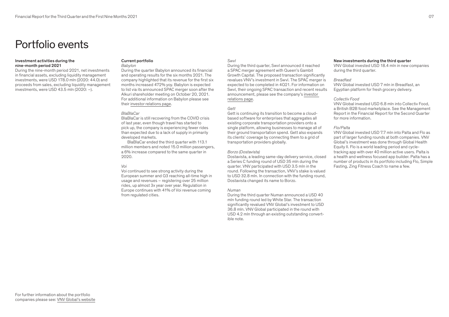# Portfolio events

# Investment activities during the nine-month period 2021

During the nine-month period 2021, net investments in financial assets, excluding liquidity management investments, were USD 178.0 mln (2020: 44.0) and proceeds from sales, excluding liquidity management investments, were USD 43.5 mln (2020: –).

#### Current portfolio Babylon

During the quarter Babylon announced its financial and operating results for the six months 2021. The company highlighted that its revenue for the first six months increased 472% yoy. Babylon is expected to list via its announced SPAC merger soon after the Alkuri shareholder meeting on October 20, 2021. For additional information on Babylon please see their [investor relations page.](https://www.babylonhealth.com/us/investor-relations)

# BlaBlaCar

BlaBlaCar is still recovering from the COVID crisis of last year, even though travel has started to pick up, the company is experiencing fewer rides than expected due to a lack of supply in primarily developed markets.

BlaBlaCar ended the third quarter with 113.1 million members and noted 15.0 million passengers, a 6% increase compared to the same quarter in 2020.

# Voi

Voi continued to see strong activity during the European summer and Q3 reaching all-time high in usage and revenues – registering over 25 million rides, up almost 3x year over year. Regulation in Europe continues with 41% of Voi revenue coming from regulated cities.

# Swvl

During the third quarter, Swvl announced it reached a SPAC merger agreement with Queen's Gambit Growth Capital. The proposed transaction significantly revalues VNV's investment in Swvl. The SPAC merger is expected to be completed in 4Q21. For information on Swvl, their ongoing SPAC transaction and recent results announcement, please see the company's [investor](https://regular.swvl.com/investor-relations)  [relations page](https://regular.swvl.com/investor-relations).

### Gett

Gett is continuing its transition to become a cloudbased software for enterprises that aggregates all existing corporate transportation providers onto a single platform, allowing businesses to manage all of their ground transportation spend. Gett also expands its clients' coverage by connecting them to a grid of transportation providers globally.

### Borzo (Dostavista)

Dostavista, a leading same-day delivery service, closed a Series C funding round of USD 35 mln during the quarter. VNV participated with USD 3.5 mln in the round. Following the transaction, VNV's stake is valued to USD 32.8 mln. In connection with the funding round, Dostavista changed its name to Borzo.

### Numan

During the third quarter Numan announced a USD 40 mln funding round led by White Star. The transaction significantly revalued VNV Global's investment to USD 36.8 mln. VNV Global participated in the round with USD 4.2 mln through an existing outstanding convertible note.

### New investments during the third quarter

VNV Global invested USD 18.4 mln in new companies during the third quarter.

# Breadfast

VNV Global invested USD 7 mln in Breadfast, an Egyptian platform for fresh grocery delivery.

# Collectiv Food

VNV Global invested USD 6.8 mln into Collectiv Food, a British B2B food marketplace. See the Management Report in the Financial Report for the Second Quarter for more information.

### Flo/Palta

VNV Global invested USD 7.7 mln into Palta and Flo as part of larger funding rounds at both companies. VNV Global's investment was done through Global Health Equity II. Flo is a world leading period and cycletracking app with over 40 million active users. Palta is a health and wellness focused app builder. Palta has a number of products in its portfolio including Flo, Simple Fasting, Zing Fitness Coach to name a few.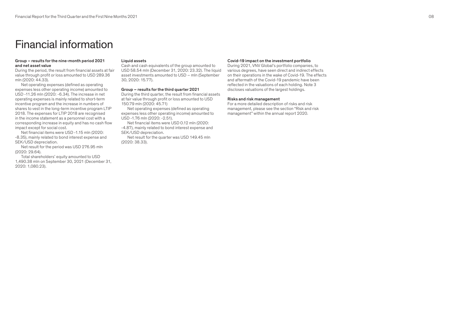# Financial information

### Group – results for the nine-month period 2021 and net asset value

During the period, the result from financial assets at fair value through profit or loss amounted to USD 289.36 mln (2020: 44.33).

Net operating expenses (defined as operating expenses less other operating income) amounted to USD -11.26 mln (2020: -6.34). The increase in net operating expenses is mainly related to short-term incentive program and the increase in numbers of shares to vest in the long-term incentive program LTIP 2018. The expenses for LTIP 2018 are recognised in the income statement as a personnel cost with a corresponding increase in equity and has no cash flow impact except for social cost.

Net financial items were USD -1.15 mln (2020: -8.35), mainly related to bond interest expense and SEK/USD depreciation.

Net result for the period was USD 276.95 mln (2020: 29.64).

Total shareholders' equity amounted to USD 1,490.38 mln on September 30, 2021 (December 31, 2020: 1,080.23).

### Liquid assets

Cash and cash equivalents of the group amounted to USD 58.54 mln (December 31, 2020: 23.32). The liquid asset investments amounted to USD – mln (September 30, 2020: 15.77).

### Group – results for the third quarter 2021

During the third quarter, the result from financial assets at fair value through profit or loss amounted to USD 150.79 mln (2020: 45.71)

Net operating expenses (defined as operating expenses less other operating income) amounted to USD -1.76 mln (2020: -2.51).

Net financial items were USD 0.12 mln (2020: -4.87), mainly related to bond interest expense and SEK/USD depreciation.

Net result for the quarter was USD 149.45 mln (2020: 38.33).

### Covid-19 impact on the investment portfolio

During 2021, VNV Global's portfolio companies, to various degrees, have seen direct and indirect effects on their operations in the wake of Covid-19. The effects and aftermath of the Covid-19 pandemic have been reflected in the valuations of each holding. Note 3 discloses valuations of the largest holdings.

#### Risks and risk management

For a more detailed description of risks and risk management, please see the section "Risk and risk management" within the annual report 2020.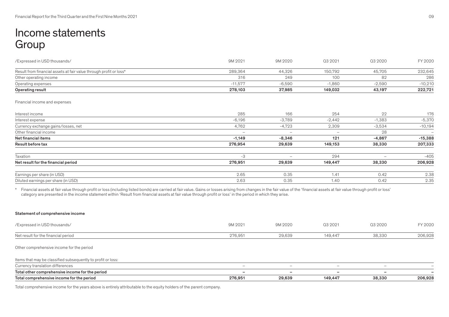# Income statements **Group**

| /Expressed in USD thousands/                                       | 9M 2021                  | 9M 2020                  | Q3 2021  | Q3 2020                  | FY 2020                  |
|--------------------------------------------------------------------|--------------------------|--------------------------|----------|--------------------------|--------------------------|
| Result from financial assets at fair value through profit or loss* | 289,364                  | 44,326                   | 150,792  | 45,705                   | 232,645                  |
| Other operating income                                             | 316                      | 249                      | 100      | 82                       | 286                      |
| Operating expenses                                                 | $-11,577$                | $-6,590$                 | $-1,860$ | $-2,590$                 | $-10,210$                |
| Operating result                                                   | 278,103                  | 37,985                   | 149,032  | 43,197                   | 222,721                  |
| Financial income and expenses                                      |                          |                          |          |                          |                          |
| Interest income                                                    | 285                      | 166                      | 254      | 22                       | 176                      |
| Interest expense                                                   | $-6,196$                 | $-3,789$                 | $-2,442$ | $-1,383$                 | $-5,370$                 |
| Currency exchange gains/losses, net                                | 4,762                    | $-4,723$                 | 2,309    | $-3,534$                 | $-10,194$                |
| Other financial income                                             | $\overline{\phantom{m}}$ | $\overline{\phantom{a}}$ |          | 28                       | $\overline{\phantom{0}}$ |
| Net financial items                                                | $-1,149$                 | $-8,346$                 | 121      | $-4,867$                 | $-15,388$                |
| Result before tax                                                  | 276,954                  | 29,639                   | 149,153  | 38,330                   | 207,333                  |
| Taxation                                                           | $-3$                     | $\overline{\phantom{a}}$ | 294      | $\overline{\phantom{0}}$ | $-405$                   |
| Net result for the financial period                                | 276,951                  | 29,639                   | 149,447  | 38,330                   | 206,928                  |
| Earnings per share (in USD)                                        | 2.65                     | 0.35                     | 1.41     | 0.42                     | 2.38                     |
| Diluted earnings per share (in USD)                                | 2.63                     | 0.35                     | 1.40     | 0.42                     | 2.35                     |

\* Financial assets at fair value through profit or loss (including listed bonds) are carried at fair value. Gains or losses arising from changes in the fair value of the 'financial assets at fair value through profit or lo category are presented in the income statement within 'Result from financial assets at fair value through profit or loss' in the period in which they arise.

# Statement of comprehensive income

| /Expressed in USD thousands/                                                                                                                                                                                                      | 9M 2021 | 9M 2020 | Q3 2021 | Q3 2020 | FY 2020 |
|-----------------------------------------------------------------------------------------------------------------------------------------------------------------------------------------------------------------------------------|---------|---------|---------|---------|---------|
| Net result for the financial period                                                                                                                                                                                               | 276.951 | 29.639  | 149.447 | 38,330  | 206,928 |
| Other comprehensive income for the period                                                                                                                                                                                         |         |         |         |         |         |
| $\mathbf{r}$ , and the contract of the contract of the contract of the contract of the contract of the contract of the contract of the contract of the contract of the contract of the contract of the contract of the contract o |         |         |         |         |         |

# Items that may be classified subsequently to profit or loss: Currency translation differences – – – – – Total other comprehensive income for the period – – – – – Total comprehensive income for the period 206,928 29,639 29,639 29,639 29,639 29,639 29,6330 206,928

Total comprehensive income for the years above is entirely attributable to the equity holders of the parent company.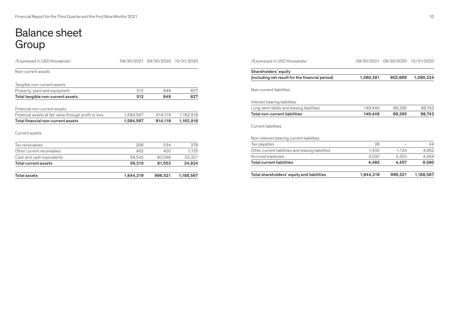# Balance sheet Group

| Total assets                                          | 1,644,319 | 996,521               | 1,188,567  |
|-------------------------------------------------------|-----------|-----------------------|------------|
| Total current assets                                  | 59,210    | 81,553                | 24,824     |
| Cash and cash equivalents                             | 58,542    | 80,599                | 23,321     |
| Other current receivables                             | 462       | 420                   | 1,125      |
| Tax receivables                                       | 206       | 534                   | 378        |
| Current assets                                        |           |                       |            |
| Total financial non-current assets                    | 1,584,597 | 914,119               | 1,162,916  |
| Financial assets at fair value through profit or loss | 1,584,597 | 914,119               | 1,162,916  |
| Financial non-current assets                          |           |                       |            |
| Total tangible non-current assets                     | 512       | 849                   | 827        |
| Property, plant and equipment                         | 512       | 849                   | 827        |
| Tangible non-current assets                           |           |                       |            |
| Non-current assets                                    |           |                       |            |
| /Expressed in USD thousands/                          |           | 09/30/2021 09/30/2020 | 12/31/2020 |

| /Expressed in USD thousands/                      |           | 09/30/2021 09/30/2020 12/31/2020 |           |  |
|---------------------------------------------------|-----------|----------------------------------|-----------|--|
| Shareholders' equity                              |           |                                  |           |  |
| (including net result for the financial period)   | 1,490,381 | 902,669                          | 1,080,234 |  |
| Non-current liabilities                           |           |                                  |           |  |
| Interest bearing liabilities                      |           |                                  |           |  |
| Long-term debts and leasing liabilities           | 149,446   | 89,395                           | 98,743    |  |
| Total non-current liabilities                     | 149,446   | 89,395                           | 98,743    |  |
| Current liabilities                               |           |                                  |           |  |
| Non-interest bearing current liabilities          |           |                                  |           |  |
| Tax payables                                      | 28        |                                  | 44        |  |
| Other current liabilities and leasing liabilities | 1,432     | 1,134                            | 4,952     |  |
| Accrued expenses                                  | 3,032     | 3,323                            | 4,594     |  |
| <b>Total current liabilities</b>                  | 4,492     | 4,457                            | 9,590     |  |
| Total shareholders' equity and liabilities        | 1,644,319 | 996,521                          | 1,188,567 |  |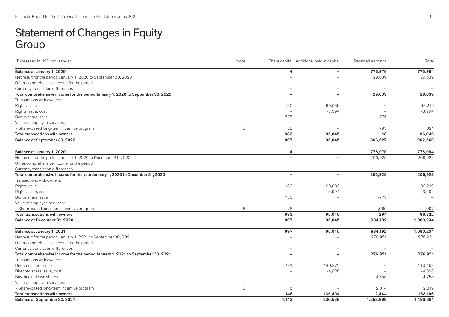# Statement of Changes in Equity Group

| /Expressed in USD thousands/                                                    | Note<br>Share capital Additional paid in capital |                          |                          | Retained earnings | Total                    |
|---------------------------------------------------------------------------------|--------------------------------------------------|--------------------------|--------------------------|-------------------|--------------------------|
| Balance at January 1, 2020                                                      |                                                  | 14                       |                          | 776,970           | 776,984                  |
| Net result for the period January 1, 2020 to September 30, 2020                 |                                                  |                          |                          | 29,639            | 29,639                   |
| Other comprehensive income for the period                                       |                                                  |                          |                          |                   |                          |
| Currency translation differences                                                |                                                  |                          |                          |                   |                          |
| Total comprehensive income for the period January 1, 2020 to September 30, 2020 |                                                  |                          |                          | 29,639            | 29,639                   |
| Transactions with owners:                                                       |                                                  |                          |                          |                   |                          |
| Rights issue                                                                    |                                                  | 180                      | 99,039                   |                   | 99,219                   |
| Rights issue, cost                                                              |                                                  |                          | $-3,994$                 |                   | $-3,994$                 |
| Bonus share issue                                                               |                                                  | 775                      |                          | $-775$            |                          |
| Value of employee services:                                                     |                                                  |                          |                          |                   |                          |
| - Share-based long-term incentive program                                       | 6                                                | 28                       |                          | 793               | 821                      |
| Total transactions with owners                                                  |                                                  | 983                      | 95,045                   | 18                | 96,046                   |
| Balance at September 30, 2020                                                   |                                                  | 997                      | 95,045                   | 806,627           | 902,669                  |
| Balance at January 1, 2020                                                      |                                                  | 14                       | $\sim$                   | 776,970           | 776,984                  |
| Net result for the period January 1, 2020 to December 31, 2020                  |                                                  | $\overline{\phantom{a}}$ |                          | 206,928           | 206,928                  |
| Other comprehensive income for the period                                       |                                                  |                          |                          |                   |                          |
| Currency translation differences                                                |                                                  | $\overline{\phantom{0}}$ |                          |                   |                          |
| Total comprehensive income for the year January 1, 2020 to December 31, 2020    |                                                  | $\overline{\phantom{0}}$ | $\overline{\phantom{0}}$ | 206,928           | 206,928                  |
| Transactions with owners:                                                       |                                                  |                          |                          |                   |                          |
| Rights issue                                                                    |                                                  | 180                      | 99,039                   |                   | 99,219                   |
| Rights issue, cost                                                              |                                                  | $\overline{\phantom{0}}$ | $-3,994$                 |                   | $-3,994$                 |
| Bonus share issue                                                               |                                                  | 775                      |                          | $-775$            | $\overline{\phantom{0}}$ |
| Value of employee services:                                                     |                                                  |                          |                          |                   |                          |
| - Share-based long-term incentive program                                       | 6                                                | 28                       |                          | 1,069             | 1,097                    |
| Total transactions with owners                                                  |                                                  | 983                      | 95,045                   | 294               | 96,322                   |
| Balance at December 31, 2020                                                    |                                                  | 997                      | 95,045                   | 984,192           | 1,080,234                |
| Balance at January 1, 2021                                                      |                                                  | 997                      | 95,045                   | 984,192           | 1,080,234                |
| Net result for the period January 1, 2021 to September 30, 2021                 |                                                  |                          |                          | 276,951           | 276,951                  |
| Other comprehensive income for the period                                       |                                                  |                          |                          |                   |                          |
| Currency translation differences                                                |                                                  |                          |                          |                   |                          |
| Total comprehensive income for the period January 1, 2021 to September 30, 2021 |                                                  | $\overline{\phantom{a}}$ | $\overline{\phantom{0}}$ | 276,951           | 276,951                  |
| Transactions with owners:                                                       |                                                  |                          |                          |                   |                          |
| Directed share issue                                                            |                                                  | 141                      | 140,322                  |                   | 140,463                  |
| Directed share issue, cost                                                      |                                                  |                          | $-4,828$                 |                   | $-4,828$                 |
| Buy-back of own shares                                                          |                                                  |                          |                          | $-4,758$          | $-4,758$                 |
| Value of employee services:                                                     |                                                  |                          |                          |                   |                          |
| - Share-based long-term incentive program                                       | 6                                                | 5                        |                          | 2,314             | 2,319                    |
| <b>Total transactions with owners</b>                                           |                                                  | 146                      | 135,494                  | $-2,444$          | 133,196                  |
| Balance at September 30, 2021                                                   |                                                  | 1,143                    | 230,539                  | 1,258,699         | 1,490,381                |
|                                                                                 |                                                  |                          |                          |                   |                          |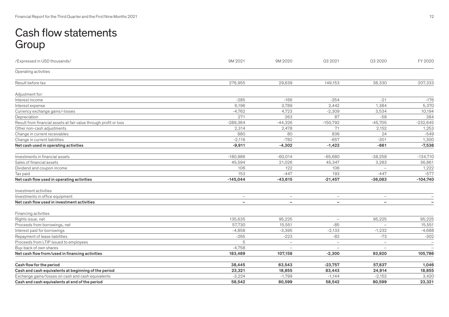# Cash flow statements Group

| /Expressed in USD thousands/                                      | 9M 2021                  | 9M 2020                  | Q3 2021                  | Q3 2020                  | FY 2020                         |
|-------------------------------------------------------------------|--------------------------|--------------------------|--------------------------|--------------------------|---------------------------------|
| Operating activities                                              |                          |                          |                          |                          |                                 |
| Result before tax                                                 | 276,955                  | 29,639                   | 149,153                  | 38,330                   | 207,333                         |
| Adjustment for:                                                   |                          |                          |                          |                          |                                 |
| Interest income                                                   | $-285$                   | $-166$                   | $-254$                   | $-21$                    | $-176$                          |
| Interest expense                                                  | 6,196                    | 3,789                    | 2,442                    | 1,384                    | 5,370                           |
| Currency exchange gains/-losses                                   | $-4,762$                 | 4,723                    | $-2,309$                 | 3,534                    | 10,194                          |
| Depreciation                                                      | 271                      | 263                      | 87                       | $-58$                    | 384                             |
| Result from financial assets at fair value through profit or loss | $-289,364$               | $-44,326$                | $-150,792$               | $-45,705$                | $-232,645$                      |
| Other non-cash adjustments                                        | 2,314                    | 2,478                    | 71                       | 2,152                    | 1,253                           |
| Change in current receivables                                     | 880                      | 80                       | 836                      | 24                       | $-549$                          |
| Change in current liabilities                                     | $-2,116$                 | $-782$                   | $-657$                   | $-301$                   | 1,300                           |
| Net cash used in operating activities                             | $-9,911$                 | $-4,302$                 | $-1,423$                 | $-661$                   | $-7,536$                        |
| Investments in financial assets                                   | $-180,986$               | $-60,014$                | $-65,680$                | $-38,258$                | $-134,710$                      |
| Sales of financial assets                                         | 45,594                   | 21,026                   | 45,347                   | 3,283                    | 36,861                          |
| Dividend and coupon income                                        | 106                      | 122                      | 106                      |                          | 1,222                           |
| Tax paid                                                          | 153                      | $-447$                   | 193                      | $-447$                   | $-577$                          |
| Net cash flow used in operating activities                        | $-145,044$               | $-43,615$                | $-21,457$                | $-36,083$                | $-104,740$                      |
| Investment activities                                             |                          |                          |                          |                          |                                 |
| Investments in office equipment                                   | $\overline{\phantom{m}}$ | $\overline{\phantom{m}}$ | $\overline{\phantom{m}}$ | $\overline{\phantom{m}}$ |                                 |
| Net cash flow used in investment activities                       |                          | $\overline{\phantom{0}}$ |                          | $\overline{\phantom{m}}$ |                                 |
| Financing activities                                              |                          |                          |                          |                          |                                 |
| Rights issue, net                                                 | 135,635                  | 95,225                   |                          | 95,225                   | 95,225                          |
| Proceeds from borrowings, net                                     | 57,730                   | 15,551                   | $-85$                    |                          | 15,551                          |
| Interest paid for borrowings                                      | $-4,858$                 | $-3,395$                 | $-2,133$                 | $-1,232$                 | $-4,688$                        |
| Repayment of lease liabilities                                    | $-265$                   | $-223$                   | $-82$                    | $-73$                    | $-302$                          |
| Proceeds from LTIP issued to employees                            | 5                        | $\equiv$                 | $\overline{\phantom{0}}$ | $\overline{\phantom{0}}$ | $\overline{\phantom{a}}$        |
| Buy-back of own shares                                            | $-4,758$                 |                          |                          |                          | $\hspace{0.1mm}-\hspace{0.1mm}$ |
| Net cash flow from/used in financing activities                   | 183,489                  | 107,158                  | $-2,300$                 | 93,920                   | 105,786                         |
| Cash flow for the period                                          | 38,445                   | 63,543                   | $-23,757$                | 57,837                   | 1,046                           |
| Cash and cash equivalents at beginning of the period              | 23,321                   | 18,855                   | 83,443                   | 24,914                   | 18,855                          |
| Exchange gains/losses on cash and cash equivalents                | $-3,224$                 | $-1,799$                 | $-1,144$                 | $-2,152$                 | 3,420                           |
| Cash and cash equivalents at end of the period                    | 58,542                   | 80,599                   | 58,542                   | 80,599                   | 23,321                          |
|                                                                   |                          |                          |                          |                          |                                 |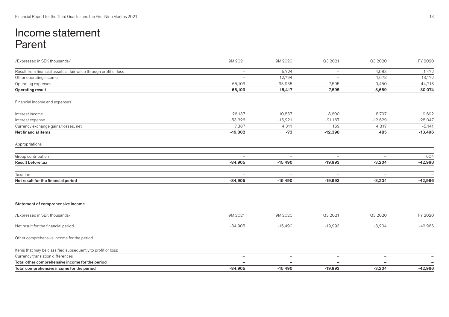# Income statement Parent

| /Expressed in SEK thousands/                                      | 9M 2021                  | 9M 2020                  | Q3 2021                  | Q3 2020                          | FY 2020   |
|-------------------------------------------------------------------|--------------------------|--------------------------|--------------------------|----------------------------------|-----------|
| Result from financial assets at fair value through profit or loss | $\overline{\phantom{m}}$ | 5,724                    | $\overline{\phantom{0}}$ | 4,083                            | 1,472     |
| Other operating income                                            |                          | 12,794                   |                          | 1,678                            | 13,172    |
| Operating expenses                                                | $-65,103$                | $-33,935$                | $-7,595$                 | $-9,450$                         | $-44,718$ |
| Operating result                                                  | $-65,103$                | $-15,417$                | $-7,595$                 | $-3,689$                         | $-30,074$ |
| Financial income and expenses                                     |                          |                          |                          |                                  |           |
| Interest income                                                   | 26,137                   | 10,837                   | 8,600                    | 8,797                            | 19,692    |
| Interest expense                                                  | $-53,326$                | $-15,221$                | $-21,167$                | $-12,629$                        | $-28,047$ |
| Currency exchange gains/losses, net                               | 7,387                    | 4,311                    | 169                      | 4,317                            | $-5,141$  |
| Net financial items                                               | $-19,802$                | $-73$                    | $-12,398$                | 485                              | $-13,496$ |
| Appropriations                                                    |                          |                          |                          |                                  |           |
| Group contribution                                                | $\overline{\phantom{0}}$ | $\overline{\phantom{m}}$ | $\overline{\phantom{m}}$ | $\overbrace{\phantom{12322111}}$ | 604       |
| Result before tax                                                 | $-84,905$                | $-15,490$                | $-19,993$                | $-3,204$                         | $-42,966$ |
| Taxation                                                          | $\overline{\phantom{a}}$ | $\overline{\phantom{0}}$ | $\overline{\phantom{a}}$ | $\overline{\phantom{0}}$         |           |
| Net result for the financial period                               | $-84,905$                | $-15,490$                | $-19,993$                | $-3,204$                         | $-42,966$ |
| Statement of comprehensive income                                 |                          |                          |                          |                                  |           |
| /Expressed in SEK thousands/                                      | 9M 2021                  | 9M 2020                  | Q3 2021                  | Q3 2020                          | FY 2020   |
| Net result for the financial period                               | $-84,905$                | $-15,490$                | $-19,993$                | $-3,204$                         | $-42,966$ |
| Other comprehensive income for the period                         |                          |                          |                          |                                  |           |
| Items that may be classified subsequently to profit or loss:      |                          |                          |                          |                                  |           |
| Currency translation differences                                  | $\overline{\phantom{a}}$ | $\overline{\phantom{0}}$ | $\overline{\phantom{0}}$ | $\overline{\phantom{a}}$         |           |
| Total other comprehensive income for the period                   |                          |                          |                          |                                  |           |
| Total comprehensive income for the period                         | $-84,905$                | $-15,490$                | $-19,993$                | $-3,204$                         | $-42,966$ |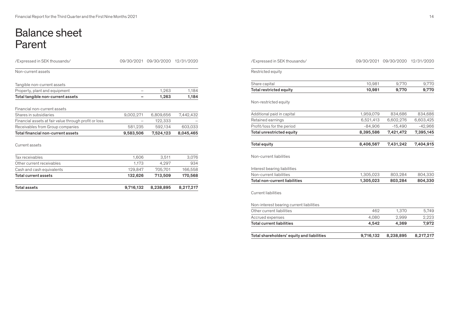# Balance sheet Parent

| /Expressed in SEK thousands/                          |           | 09/30/2021 09/30/2020 | 12/31/2020 |
|-------------------------------------------------------|-----------|-----------------------|------------|
| Non-current assets                                    |           |                       |            |
| Tangible non-current assets                           |           |                       |            |
| Property, plant and equipment                         |           | 1,263                 | 1,184      |
| Total tangible non-current assets                     |           | 1,263                 | 1,184      |
| Financial non-current assets                          |           |                       |            |
| Shares in subsidiaries                                | 9,002,271 | 6,809,656             | 7,442,432  |
| Financial assets at fair value through profit or loss |           | 122,333               |            |
| Receivables from Group companies                      | 581,235   | 592,134               | 603,033    |
| Total financial non-current assets                    | 9,583,506 | 7,524,123             | 8,045,465  |
| Current assets                                        |           |                       |            |
| Tax receivables                                       | 1,606     | 3,511                 | 3,076      |
| Other current receivables                             | 1,173     | 4,297                 | 934        |
| Cash and cash equivalents                             | 129,847   | 705,701               | 166,558    |
| Total current assets                                  | 132,626   | 713,509               | 170,568    |
| <b>Total assets</b>                                   | 9,716,132 | 8,238,895             | 8,217,217  |

| 8,238,895 | Total shareholders' equity and liabilities<br>9,716,132<br>8,217,217 |
|-----------|----------------------------------------------------------------------|
| 4,369     | 4,542<br>7,972                                                       |
| 2,999     | 2,223<br>4,080                                                       |
| 1,370     | 462<br>5,749                                                         |
|           | Non-interest bearing current liabilities                             |
|           |                                                                      |
| 803,284   | 1,305,023<br>804,330                                                 |
| 803,284   | 1,305,023<br>804,330                                                 |
|           |                                                                      |
|           |                                                                      |
| 7,431,242 | 8,406,567<br>7,404,915                                               |
| 7,421,472 | 8,395,586<br>7,395,145                                               |
| $-15,490$ | $-84,906$<br>$-42,966$                                               |
| 6,602,276 | 6,521,413<br>6,603,425                                               |
| 834,686   | 834,686<br>1,959,079                                                 |
|           |                                                                      |
| 9,770     | 10,981<br>9,770                                                      |
| 9,770     | 9,770<br>10,981                                                      |
|           |                                                                      |
|           | /Expressed in SEK thousands/<br>09/30/2021 09/30/2020<br>12/31/2020  |
|           |                                                                      |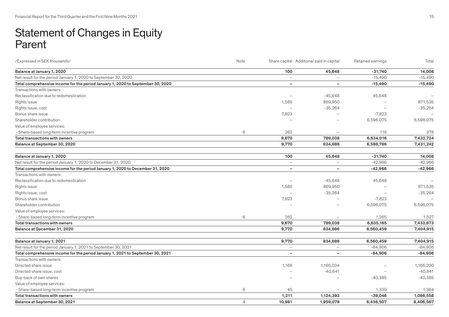# Statement of Changes in Equity Parent

| 100<br>Balance at January 1, 2020<br>45,648<br>$-31,740$<br>Net result for the period January 1, 2020 to September 30, 2020<br>$-15,490$<br>$\overline{\phantom{0}}$<br>Total comprehensive income for the period January 1, 2020 to September 30, 2020<br>$-15,490$<br>$\overline{\phantom{0}}$<br>÷<br>Transactions with owners:<br>Reclassification due to redomestication<br>$-45,648$<br>45,648<br>$\overline{\phantom{0}}$<br>1,585<br>869,950<br>Rights issue<br>$-35,264$<br>Rights issue, cost<br>$\equiv$<br>7,823<br>$-7,823$<br>Bonus share issue<br>Shareholder contribution<br>6,596,075<br>Value of employee services:<br>6<br>262<br>116<br>- Share-based long-term incentive program<br>9,670<br>789,038<br>6,634,016<br><b>Total transactions with owners</b><br>Balance at September 30, 2020<br>9,770<br>834,686<br>6,586,786<br>100<br>45,648<br>$-31,740$<br>Balance at January 1, 2020<br>Net result for the period January 1, 2020 to December 31, 2020<br>$-42,966$<br>$\overline{\phantom{0}}$<br>$-42,966$<br>Total comprehensive income for the period January 1, 2020 to December 31, 2020<br>$\overline{\phantom{0}}$<br>Transactions with owners:<br>Reclassification due to redomestication<br>$-45,648$<br>45,648<br>$\overline{\phantom{0}}$<br>Rights issue<br>1,585<br>869,950<br>$-35,264$<br>Rights issue, cost<br>7,823<br>$-7,823$<br>Bonus share issue<br>6,596,075<br>Shareholder contribution<br>Value of employee services:<br>6<br>262<br>1,265<br>- Share-based long-term incentive program<br>9,670<br>789,038<br>6,635,165<br>Total transactions with owners<br>Balance at December 31, 2020<br>9,770<br>834,686<br>6,560,459<br>9,770<br>834,686<br>6,560,459<br>7,404,915<br>Balance at January 1, 2021<br>Net result for the period January 1, 2021 to September 30, 2021<br>$-84,906$<br>$-84,906$<br>$\overline{\phantom{a}}$<br>$\overline{\phantom{a}}$<br>Total comprehensive income for the period January 1, 2021 to September 30, 2021<br>$-84,906$<br>$\qquad \qquad -$<br>Transactions with owners:<br>1,166<br>1,165,034<br>Directed share issue<br>$-40,641$<br>$-40,641$<br>Directed share issue, cost<br>Buy-back of own shares<br>$-40,385$<br>Value of employee services:<br>6<br>45<br>1,339<br>- Share-based long-term incentive program<br>Total transactions with owners<br>1,211<br>1,124,393<br>$-39,046$<br>$\overline{4}$<br>Balance at September 30, 2021<br>10,981<br>1,959,079<br>6,436,507 | /Expressed in SEK thousands/ | Note | Share capital Additional paid in capital | Retained earnings | Total     |
|---------------------------------------------------------------------------------------------------------------------------------------------------------------------------------------------------------------------------------------------------------------------------------------------------------------------------------------------------------------------------------------------------------------------------------------------------------------------------------------------------------------------------------------------------------------------------------------------------------------------------------------------------------------------------------------------------------------------------------------------------------------------------------------------------------------------------------------------------------------------------------------------------------------------------------------------------------------------------------------------------------------------------------------------------------------------------------------------------------------------------------------------------------------------------------------------------------------------------------------------------------------------------------------------------------------------------------------------------------------------------------------------------------------------------------------------------------------------------------------------------------------------------------------------------------------------------------------------------------------------------------------------------------------------------------------------------------------------------------------------------------------------------------------------------------------------------------------------------------------------------------------------------------------------------------------------------------------------------------------------------------------------------------------------------------------------------------------------------------------------------------------------------------------------------------------------------------------------------------------------------------------------------------------------------------------------------------------------------------------------------------------------------------------------------------------------------------------------------|------------------------------|------|------------------------------------------|-------------------|-----------|
|                                                                                                                                                                                                                                                                                                                                                                                                                                                                                                                                                                                                                                                                                                                                                                                                                                                                                                                                                                                                                                                                                                                                                                                                                                                                                                                                                                                                                                                                                                                                                                                                                                                                                                                                                                                                                                                                                                                                                                                                                                                                                                                                                                                                                                                                                                                                                                                                                                                                           |                              |      |                                          |                   | 14,008    |
|                                                                                                                                                                                                                                                                                                                                                                                                                                                                                                                                                                                                                                                                                                                                                                                                                                                                                                                                                                                                                                                                                                                                                                                                                                                                                                                                                                                                                                                                                                                                                                                                                                                                                                                                                                                                                                                                                                                                                                                                                                                                                                                                                                                                                                                                                                                                                                                                                                                                           |                              |      |                                          |                   | $-15,490$ |
|                                                                                                                                                                                                                                                                                                                                                                                                                                                                                                                                                                                                                                                                                                                                                                                                                                                                                                                                                                                                                                                                                                                                                                                                                                                                                                                                                                                                                                                                                                                                                                                                                                                                                                                                                                                                                                                                                                                                                                                                                                                                                                                                                                                                                                                                                                                                                                                                                                                                           |                              |      |                                          |                   | $-15,490$ |
|                                                                                                                                                                                                                                                                                                                                                                                                                                                                                                                                                                                                                                                                                                                                                                                                                                                                                                                                                                                                                                                                                                                                                                                                                                                                                                                                                                                                                                                                                                                                                                                                                                                                                                                                                                                                                                                                                                                                                                                                                                                                                                                                                                                                                                                                                                                                                                                                                                                                           |                              |      |                                          |                   |           |
|                                                                                                                                                                                                                                                                                                                                                                                                                                                                                                                                                                                                                                                                                                                                                                                                                                                                                                                                                                                                                                                                                                                                                                                                                                                                                                                                                                                                                                                                                                                                                                                                                                                                                                                                                                                                                                                                                                                                                                                                                                                                                                                                                                                                                                                                                                                                                                                                                                                                           |                              |      |                                          |                   |           |
|                                                                                                                                                                                                                                                                                                                                                                                                                                                                                                                                                                                                                                                                                                                                                                                                                                                                                                                                                                                                                                                                                                                                                                                                                                                                                                                                                                                                                                                                                                                                                                                                                                                                                                                                                                                                                                                                                                                                                                                                                                                                                                                                                                                                                                                                                                                                                                                                                                                                           |                              |      |                                          |                   | 871,535   |
|                                                                                                                                                                                                                                                                                                                                                                                                                                                                                                                                                                                                                                                                                                                                                                                                                                                                                                                                                                                                                                                                                                                                                                                                                                                                                                                                                                                                                                                                                                                                                                                                                                                                                                                                                                                                                                                                                                                                                                                                                                                                                                                                                                                                                                                                                                                                                                                                                                                                           |                              |      |                                          |                   | $-35,264$ |
|                                                                                                                                                                                                                                                                                                                                                                                                                                                                                                                                                                                                                                                                                                                                                                                                                                                                                                                                                                                                                                                                                                                                                                                                                                                                                                                                                                                                                                                                                                                                                                                                                                                                                                                                                                                                                                                                                                                                                                                                                                                                                                                                                                                                                                                                                                                                                                                                                                                                           |                              |      |                                          |                   |           |
|                                                                                                                                                                                                                                                                                                                                                                                                                                                                                                                                                                                                                                                                                                                                                                                                                                                                                                                                                                                                                                                                                                                                                                                                                                                                                                                                                                                                                                                                                                                                                                                                                                                                                                                                                                                                                                                                                                                                                                                                                                                                                                                                                                                                                                                                                                                                                                                                                                                                           |                              |      |                                          |                   | 6,596,075 |
|                                                                                                                                                                                                                                                                                                                                                                                                                                                                                                                                                                                                                                                                                                                                                                                                                                                                                                                                                                                                                                                                                                                                                                                                                                                                                                                                                                                                                                                                                                                                                                                                                                                                                                                                                                                                                                                                                                                                                                                                                                                                                                                                                                                                                                                                                                                                                                                                                                                                           |                              |      |                                          |                   |           |
|                                                                                                                                                                                                                                                                                                                                                                                                                                                                                                                                                                                                                                                                                                                                                                                                                                                                                                                                                                                                                                                                                                                                                                                                                                                                                                                                                                                                                                                                                                                                                                                                                                                                                                                                                                                                                                                                                                                                                                                                                                                                                                                                                                                                                                                                                                                                                                                                                                                                           |                              |      |                                          |                   | 378       |
|                                                                                                                                                                                                                                                                                                                                                                                                                                                                                                                                                                                                                                                                                                                                                                                                                                                                                                                                                                                                                                                                                                                                                                                                                                                                                                                                                                                                                                                                                                                                                                                                                                                                                                                                                                                                                                                                                                                                                                                                                                                                                                                                                                                                                                                                                                                                                                                                                                                                           |                              |      |                                          |                   | 7,432,724 |
|                                                                                                                                                                                                                                                                                                                                                                                                                                                                                                                                                                                                                                                                                                                                                                                                                                                                                                                                                                                                                                                                                                                                                                                                                                                                                                                                                                                                                                                                                                                                                                                                                                                                                                                                                                                                                                                                                                                                                                                                                                                                                                                                                                                                                                                                                                                                                                                                                                                                           |                              |      |                                          |                   | 7,431,242 |
|                                                                                                                                                                                                                                                                                                                                                                                                                                                                                                                                                                                                                                                                                                                                                                                                                                                                                                                                                                                                                                                                                                                                                                                                                                                                                                                                                                                                                                                                                                                                                                                                                                                                                                                                                                                                                                                                                                                                                                                                                                                                                                                                                                                                                                                                                                                                                                                                                                                                           |                              |      |                                          |                   |           |
|                                                                                                                                                                                                                                                                                                                                                                                                                                                                                                                                                                                                                                                                                                                                                                                                                                                                                                                                                                                                                                                                                                                                                                                                                                                                                                                                                                                                                                                                                                                                                                                                                                                                                                                                                                                                                                                                                                                                                                                                                                                                                                                                                                                                                                                                                                                                                                                                                                                                           |                              |      |                                          |                   | 14,008    |
|                                                                                                                                                                                                                                                                                                                                                                                                                                                                                                                                                                                                                                                                                                                                                                                                                                                                                                                                                                                                                                                                                                                                                                                                                                                                                                                                                                                                                                                                                                                                                                                                                                                                                                                                                                                                                                                                                                                                                                                                                                                                                                                                                                                                                                                                                                                                                                                                                                                                           |                              |      |                                          |                   | $-42,966$ |
|                                                                                                                                                                                                                                                                                                                                                                                                                                                                                                                                                                                                                                                                                                                                                                                                                                                                                                                                                                                                                                                                                                                                                                                                                                                                                                                                                                                                                                                                                                                                                                                                                                                                                                                                                                                                                                                                                                                                                                                                                                                                                                                                                                                                                                                                                                                                                                                                                                                                           |                              |      |                                          |                   | $-42,966$ |
|                                                                                                                                                                                                                                                                                                                                                                                                                                                                                                                                                                                                                                                                                                                                                                                                                                                                                                                                                                                                                                                                                                                                                                                                                                                                                                                                                                                                                                                                                                                                                                                                                                                                                                                                                                                                                                                                                                                                                                                                                                                                                                                                                                                                                                                                                                                                                                                                                                                                           |                              |      |                                          |                   |           |
|                                                                                                                                                                                                                                                                                                                                                                                                                                                                                                                                                                                                                                                                                                                                                                                                                                                                                                                                                                                                                                                                                                                                                                                                                                                                                                                                                                                                                                                                                                                                                                                                                                                                                                                                                                                                                                                                                                                                                                                                                                                                                                                                                                                                                                                                                                                                                                                                                                                                           |                              |      |                                          |                   |           |
|                                                                                                                                                                                                                                                                                                                                                                                                                                                                                                                                                                                                                                                                                                                                                                                                                                                                                                                                                                                                                                                                                                                                                                                                                                                                                                                                                                                                                                                                                                                                                                                                                                                                                                                                                                                                                                                                                                                                                                                                                                                                                                                                                                                                                                                                                                                                                                                                                                                                           |                              |      |                                          |                   | 871,535   |
|                                                                                                                                                                                                                                                                                                                                                                                                                                                                                                                                                                                                                                                                                                                                                                                                                                                                                                                                                                                                                                                                                                                                                                                                                                                                                                                                                                                                                                                                                                                                                                                                                                                                                                                                                                                                                                                                                                                                                                                                                                                                                                                                                                                                                                                                                                                                                                                                                                                                           |                              |      |                                          |                   | $-35,264$ |
|                                                                                                                                                                                                                                                                                                                                                                                                                                                                                                                                                                                                                                                                                                                                                                                                                                                                                                                                                                                                                                                                                                                                                                                                                                                                                                                                                                                                                                                                                                                                                                                                                                                                                                                                                                                                                                                                                                                                                                                                                                                                                                                                                                                                                                                                                                                                                                                                                                                                           |                              |      |                                          |                   |           |
|                                                                                                                                                                                                                                                                                                                                                                                                                                                                                                                                                                                                                                                                                                                                                                                                                                                                                                                                                                                                                                                                                                                                                                                                                                                                                                                                                                                                                                                                                                                                                                                                                                                                                                                                                                                                                                                                                                                                                                                                                                                                                                                                                                                                                                                                                                                                                                                                                                                                           |                              |      |                                          |                   | 6,596,075 |
|                                                                                                                                                                                                                                                                                                                                                                                                                                                                                                                                                                                                                                                                                                                                                                                                                                                                                                                                                                                                                                                                                                                                                                                                                                                                                                                                                                                                                                                                                                                                                                                                                                                                                                                                                                                                                                                                                                                                                                                                                                                                                                                                                                                                                                                                                                                                                                                                                                                                           |                              |      |                                          |                   |           |
|                                                                                                                                                                                                                                                                                                                                                                                                                                                                                                                                                                                                                                                                                                                                                                                                                                                                                                                                                                                                                                                                                                                                                                                                                                                                                                                                                                                                                                                                                                                                                                                                                                                                                                                                                                                                                                                                                                                                                                                                                                                                                                                                                                                                                                                                                                                                                                                                                                                                           |                              |      |                                          |                   | 1,527     |
|                                                                                                                                                                                                                                                                                                                                                                                                                                                                                                                                                                                                                                                                                                                                                                                                                                                                                                                                                                                                                                                                                                                                                                                                                                                                                                                                                                                                                                                                                                                                                                                                                                                                                                                                                                                                                                                                                                                                                                                                                                                                                                                                                                                                                                                                                                                                                                                                                                                                           |                              |      |                                          |                   | 7,433,873 |
|                                                                                                                                                                                                                                                                                                                                                                                                                                                                                                                                                                                                                                                                                                                                                                                                                                                                                                                                                                                                                                                                                                                                                                                                                                                                                                                                                                                                                                                                                                                                                                                                                                                                                                                                                                                                                                                                                                                                                                                                                                                                                                                                                                                                                                                                                                                                                                                                                                                                           |                              |      |                                          |                   | 7,404,915 |
|                                                                                                                                                                                                                                                                                                                                                                                                                                                                                                                                                                                                                                                                                                                                                                                                                                                                                                                                                                                                                                                                                                                                                                                                                                                                                                                                                                                                                                                                                                                                                                                                                                                                                                                                                                                                                                                                                                                                                                                                                                                                                                                                                                                                                                                                                                                                                                                                                                                                           |                              |      |                                          |                   |           |
|                                                                                                                                                                                                                                                                                                                                                                                                                                                                                                                                                                                                                                                                                                                                                                                                                                                                                                                                                                                                                                                                                                                                                                                                                                                                                                                                                                                                                                                                                                                                                                                                                                                                                                                                                                                                                                                                                                                                                                                                                                                                                                                                                                                                                                                                                                                                                                                                                                                                           |                              |      |                                          |                   |           |
|                                                                                                                                                                                                                                                                                                                                                                                                                                                                                                                                                                                                                                                                                                                                                                                                                                                                                                                                                                                                                                                                                                                                                                                                                                                                                                                                                                                                                                                                                                                                                                                                                                                                                                                                                                                                                                                                                                                                                                                                                                                                                                                                                                                                                                                                                                                                                                                                                                                                           |                              |      |                                          |                   |           |
|                                                                                                                                                                                                                                                                                                                                                                                                                                                                                                                                                                                                                                                                                                                                                                                                                                                                                                                                                                                                                                                                                                                                                                                                                                                                                                                                                                                                                                                                                                                                                                                                                                                                                                                                                                                                                                                                                                                                                                                                                                                                                                                                                                                                                                                                                                                                                                                                                                                                           |                              |      |                                          |                   | $-84,906$ |
|                                                                                                                                                                                                                                                                                                                                                                                                                                                                                                                                                                                                                                                                                                                                                                                                                                                                                                                                                                                                                                                                                                                                                                                                                                                                                                                                                                                                                                                                                                                                                                                                                                                                                                                                                                                                                                                                                                                                                                                                                                                                                                                                                                                                                                                                                                                                                                                                                                                                           |                              |      |                                          |                   |           |
|                                                                                                                                                                                                                                                                                                                                                                                                                                                                                                                                                                                                                                                                                                                                                                                                                                                                                                                                                                                                                                                                                                                                                                                                                                                                                                                                                                                                                                                                                                                                                                                                                                                                                                                                                                                                                                                                                                                                                                                                                                                                                                                                                                                                                                                                                                                                                                                                                                                                           |                              |      |                                          |                   | 1,166,200 |
|                                                                                                                                                                                                                                                                                                                                                                                                                                                                                                                                                                                                                                                                                                                                                                                                                                                                                                                                                                                                                                                                                                                                                                                                                                                                                                                                                                                                                                                                                                                                                                                                                                                                                                                                                                                                                                                                                                                                                                                                                                                                                                                                                                                                                                                                                                                                                                                                                                                                           |                              |      |                                          |                   |           |
|                                                                                                                                                                                                                                                                                                                                                                                                                                                                                                                                                                                                                                                                                                                                                                                                                                                                                                                                                                                                                                                                                                                                                                                                                                                                                                                                                                                                                                                                                                                                                                                                                                                                                                                                                                                                                                                                                                                                                                                                                                                                                                                                                                                                                                                                                                                                                                                                                                                                           |                              |      |                                          |                   | $-40,385$ |
|                                                                                                                                                                                                                                                                                                                                                                                                                                                                                                                                                                                                                                                                                                                                                                                                                                                                                                                                                                                                                                                                                                                                                                                                                                                                                                                                                                                                                                                                                                                                                                                                                                                                                                                                                                                                                                                                                                                                                                                                                                                                                                                                                                                                                                                                                                                                                                                                                                                                           |                              |      |                                          |                   |           |
|                                                                                                                                                                                                                                                                                                                                                                                                                                                                                                                                                                                                                                                                                                                                                                                                                                                                                                                                                                                                                                                                                                                                                                                                                                                                                                                                                                                                                                                                                                                                                                                                                                                                                                                                                                                                                                                                                                                                                                                                                                                                                                                                                                                                                                                                                                                                                                                                                                                                           |                              |      |                                          |                   | 1,384     |
|                                                                                                                                                                                                                                                                                                                                                                                                                                                                                                                                                                                                                                                                                                                                                                                                                                                                                                                                                                                                                                                                                                                                                                                                                                                                                                                                                                                                                                                                                                                                                                                                                                                                                                                                                                                                                                                                                                                                                                                                                                                                                                                                                                                                                                                                                                                                                                                                                                                                           |                              |      |                                          |                   | 1,086,558 |
|                                                                                                                                                                                                                                                                                                                                                                                                                                                                                                                                                                                                                                                                                                                                                                                                                                                                                                                                                                                                                                                                                                                                                                                                                                                                                                                                                                                                                                                                                                                                                                                                                                                                                                                                                                                                                                                                                                                                                                                                                                                                                                                                                                                                                                                                                                                                                                                                                                                                           |                              |      |                                          |                   | 8,406,567 |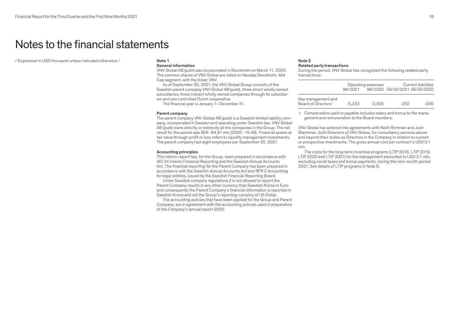# Notes to the financial statements

 $\angle$  Expressed in USD thousand unless indicated otherwise  $\angle$  Note 1

### General information

VNV Global AB (publ) was incorporated in Stockholm on March 11, 2005. The common shares of VNV Global are listed on Nasdaq Stockholm, Mid Cap segment, with the ticker VNV.

As of September 30, 2021, the VNV Global Group consists of the Swedish parent company VNV Global AB (publ), three direct wholly owned subsidiaries, three indirect wholly owned companies through its subsidiaries and one controlled Dutch cooperative.

The financial year is January 1–December 31.

### Parent company

The parent company VNV Global AB (publ) is a Swedish limited liability company, incorporated in Sweden and operating under Swedish law. VNV Global AB (publ) owns directly or indirectly all the companies in the Group. The net result for the period was SEK -84.91 mln (2020: -15.49). Financial assets at fair value through profit or loss refers to liquidity management investments. The parent company had eight employees per September 30, 2021.

### Accounting principles

This interim report has, for the Group, been prepared in accordance with IAS 34 Interim Financial Reporting and the Swedish Annual Accounts Act. The financial reporting for the Parent Company has been prepared in accordance with the Swedish Annual Accounts Act and RFR 2 Accounting for legal entities, issued by the Swedish Financial Reporting Board.

Under Swedish company regulations it is not allowed to report the Parent Company results in any other currency than Swedish Krona or Euro and consequently the Parent Company's financial information is reported in Swedish Krona and not the Group's reporting currency of US Dollar.

The accounting policies that have been applied for the Group and Parent Company, are in agreement with the accounting policies used in preparation of the Company's annual report 2020.

## Note 2 Related party transactions

During the period, VNV Global has recognized the following related party transactions:

|                                                       | 9M 2021 | Operating expenses | 9M 2020 09/30/2021 09/30/2020 | Current liabilities |
|-------------------------------------------------------|---------|--------------------|-------------------------------|---------------------|
| Key management and<br>Board of Directors <sup>1</sup> | -5.333  | $-2.303$           | -232                          | $-205$              |

1. Compensation paid or payable includes salary and bonus to the management and remuneration to the Board members.

VNV Global has entered into agreements with Keith Richman and Josh Blachman, both Directors of VNV Global, for consultancy services above and beyond their duties as Directors in the Company in relation to current or prospective investments. The gross annual cost per contract is USD 0.1 mln.

The costs for the long-term incentive programs (LTIP 2018, LTIP 2019, LTIP 2020 and LTIP 2021) for the management amounted to USD 2.1 mln, excluding social taxes and bonus payments, during the nine-month period 2021. See details of LTIP programs in Note 6.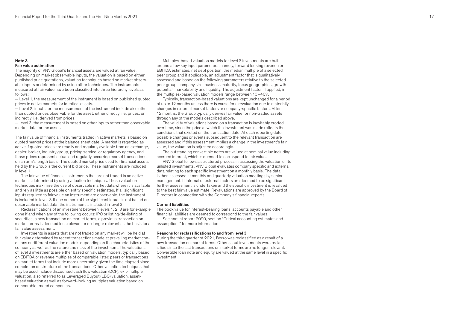# Note 3 Fair value estimation

The majority of VNV Global's financial assets are valued at fair value. Depending on market observable inputs, the valuation is based on either published price quotations, valuation techniques based on market observ able inputs or determined by using other techniques. The instruments measured at fair value have been classified into three hierarchy levels as follows:

— Level 1, the measurement of the instrument is based on published quoted prices in active markets for identical assets.

— Level 2, inputs for the measurement of the instrument include also other than quoted prices observable for the asset, either directly, i.e. prices, or indirectly, i.e. derived from prices.

—Level 3, the measurement is based on other inputs rather than observable market data for the asset.

The fair value of financial instruments traded in active markets is based on quoted market prices at the balance sheet date. A market is regarded as active if quoted prices are readily and regularly available from an exchange, dealer, broker, industry group, pricing service, or regulatory agency, and those prices represent actual and regularly occurring market transactions on an arm's length basis. The quoted market price used for financial assets held by the Group is the current bid price. These instruments are included in level 1.

The fair value of financial instruments that are not traded in an active market is determined by using valuation techniques. These valuation techniques maximize the use of observable market data where it is available and rely as little as possible on entity specific estimates. If all significant inputs required to fair value an instrument are observable, the instrument is included in level 2. If one or more of the significant inputs is not based on observable market data, the instrument is included in level 3.

Reclassifications of an investment between levels 1, 2, 3 are for example done if and when any of the following occurs: IPO or listing/de-listing of securities, a new transaction on market terms, a previous transaction on market terms is deemed less relevant or no longer relevant as the basis for a fair value assessment.

Investments in assets that are not traded on any market will be held at fair value determined by recent transactions made at prevailing market con ditions or different valuation models depending on the characteristics of the company as well as the nature and risks of the investment. The valuations of level 3 investments are either based on valuation models, typically based on EBITDA or revenue multiples of comparable listed peers or transactions on market terms that include more uncertainty given the time elapsed since completion or structure of the transactions. Other valuation techniques that may be used include discounted cash flow valuation (DCF), exit-multiple valuation, also referred to as Leveraged Buyout (LBO) valuation, assetbased valuation as well as forward-looking multiples valuation based on comparable traded companies.

Multiples-based valuation models for level 3 investments are built around a few key input parameters, namely, forward looking revenue or EBITDA estimates, net debt position, the median multiple of a selected peer group and if applicable, an adjustment factor that is qualitatively assessed and based on the following parameters relative to the selected peer group: company size, business maturity, focus geographies, growth potential, marketability and liquidity. The adjustment factor, if applied, in the multiples-based valuation models range between 10–40%.

Typically, transaction-based valuations are kept unchanged for a period of up to 12 months unless there is cause for a revaluation due to materially changes in external market factors or company-specific factors. After 12 months, the Group typically derives fair value for non-traded assets through any of the models described above.

The validity of valuations based on a transaction is inevitably eroded over time, since the price at which the investment was made reflects the conditions that existed on the transaction date. At each reporting date, possible changes or events subsequent to the relevant transaction are assessed and if this assessment implies a change in the investment's fair value, the valuation is adjusted accordingly.

The outstanding convertible notes are valued at nominal value including accrued interest, which is deemed to correspond to fair value.

VNV Global follows a structured process in assessing the valuation of its unlisted investments. VNV Global evaluates company specific and external data relating to each specific investment on a monthly basis. The data is then assessed at monthly and quarterly valuation meetings by senior management. If internal or external factors are deemed to be significant further assessment is undertaken and the specific investment is revalued to the best fair value estimate. Revaluations are approved by the Board of Directors in connection with the Company's financial reports.

#### Current liabilities

The book value for interest-bearing loans, accounts payable and other financial liabilities are deemed to correspond to the fair values.

See annual report 2020, section "Critical accounting estimates and assumptions" for more information.

#### Reasons for reclassifications to and from level 3

During the third quarter of 2021, Borzo was reclassified as a result of a new transaction on market terms. Other scout investments were reclas sified since the last transactions on market terms are no longer relevant. Convertible loan note and equity are valued at the same level in a specific investment.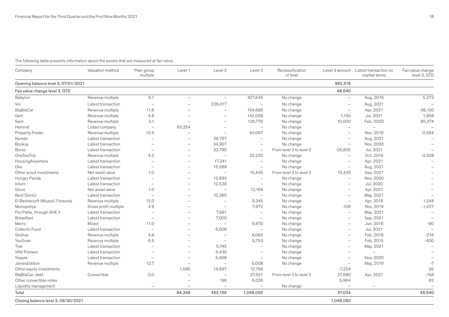# The following table presents information about the assets that are measured at fair value.

| Company                             | Valuation method      | Peer group<br>multiple   | Level 1                  | Level 2                  | Level 3                  | Reclassification<br>of level |                          | Level 3 amount Latest transaction on<br>market terms | Fair value change<br>level 3, QTD |
|-------------------------------------|-----------------------|--------------------------|--------------------------|--------------------------|--------------------------|------------------------------|--------------------------|------------------------------------------------------|-----------------------------------|
| Opening balance level 3, 07/01/2021 |                       |                          |                          |                          |                          |                              | 962,518                  |                                                      |                                   |
| Fair value change level 3, QTD      |                       |                          |                          |                          |                          |                              | 48,540                   |                                                      |                                   |
| Babylon                             | Revenue multiple      | 6.1                      | $\overline{\phantom{0}}$ | $\equiv$                 | 427,646                  | No change                    | $\overline{\phantom{m}}$ | Aug, 2019                                            | 5,373                             |
| Voi                                 | Latest transaction    | $\overline{\phantom{0}}$ | $\overline{\phantom{0}}$ | 226,017                  |                          | No change                    | $\overline{\phantom{0}}$ | Aug, 2021                                            |                                   |
| BlaBlaCar                           | Revenue multiple      | 11.6                     |                          |                          | 154,686                  | No change                    | $\qquad \qquad -$        | Apr, 2021                                            | $-38,100$                         |
| Gett                                | Revenue multiple      | 4.8                      | $\overline{\phantom{0}}$ | $\overline{\phantom{0}}$ | 142,008                  | No change                    | 1,150                    | Jul, 2021                                            | 1,908                             |
| Swvl                                | Revenue multiple      | 3.1                      | $\overline{\phantom{0}}$ |                          | 126,776                  | No change                    | 10,000                   | Feb, 2020                                            | 85,374                            |
| Hemnet                              | Listed company        |                          | 83,254                   | $\overline{\phantom{0}}$ |                          | No change                    | $\overline{\phantom{m}}$ |                                                      |                                   |
| <b>Property Finder</b>              | Revenue multiple      | 13.4                     |                          | $\overline{\phantom{0}}$ | 40,097                   | No change                    | $\overline{\phantom{0}}$ | Nov, 2018                                            | $-2,584$                          |
| Numan                               | Latest transaction    | $\overline{\phantom{0}}$ | $\overline{\phantom{0}}$ | 36,767                   |                          | No change                    |                          | Aug, 2021                                            |                                   |
| Booksy                              | Latest transaction    |                          |                          | 34,957                   |                          | No change                    | $\overline{\phantom{0}}$ | Nov, 2020                                            |                                   |
| Borzo                               | Latest transaction    | $\overline{\phantom{0}}$ | $\overline{\phantom{0}}$ | 32,790                   |                          | From level 3 to level 2      | $-25,835$                | Jul, 2021                                            |                                   |
| OneTwoTrip                          | Revenue multiple      | 4.3                      | $\overline{\phantom{0}}$ | $\overline{\phantom{m}}$ | 32,220                   | No change                    | $\overline{\phantom{0}}$ | Oct, 2019                                            | $-2,528$                          |
| HousingAnywhere                     | Latest transaction    | $\overline{\phantom{0}}$ | $\overline{\phantom{0}}$ | 17,241                   | $\overline{\phantom{a}}$ | No change                    | $\overline{\phantom{0}}$ | Apr, 2021                                            |                                   |
| Olio                                | Latest transaction    | $\overline{\phantom{0}}$ | $\overline{\phantom{0}}$ | 15,589                   | $\overline{\phantom{m}}$ | No change                    | $\overline{\phantom{0}}$ | Aug, 2021                                            |                                   |
| Other scout investments             | Net asset value       | 1.0                      | $\overline{\phantom{0}}$ | $\overline{\phantom{m}}$ | 15,435                   | From level 2 to level 3      | 15,435                   | Sep, 2021                                            |                                   |
| Hungry Panda                        | Latest transaction    | $\overline{\phantom{0}}$ | $\overline{\phantom{0}}$ | 12,894                   | $\overline{\phantom{a}}$ | No change                    | $\overline{\phantom{0}}$ | Nov, 2020                                            |                                   |
| Inturn                              | Latest transaction    | $\equiv$                 | $\equiv$                 | 12,538                   | $\overline{\phantom{a}}$ | No change                    | $\overline{\phantom{0}}$ | Jul, 2020                                            |                                   |
| Glovo                               | Net asset value       | 1.0                      | $\overline{\phantom{0}}$ | $\equiv$                 | 12,169                   | No change                    | $\overline{\phantom{0}}$ | Apr, 2021                                            | $\overline{\phantom{m}}$          |
| <b>Best Doctor</b>                  | Latest transaction    | $\overline{\phantom{0}}$ | $\overline{\phantom{0}}$ | 10,385                   | L.                       | No change                    | $\overline{\phantom{0}}$ | May, 2021                                            |                                   |
| El Basharsoft (Wuzzuf, Forasna)     | Revenue multiple      | 13.0                     | $\overline{\phantom{0}}$ | $\overline{\phantom{0}}$ | 9,245                    | No change                    | $\overline{\phantom{m}}$ | Apr, 2018                                            | 1,248                             |
| Monopoliya                          | Gross profit multiple | 4.9                      |                          | $\overline{\phantom{m}}$ | 7,972                    | No change                    | $-106$                   | Nov, 2019                                            | $-1,437$                          |
| Flo/Palta, through GHE II           | Latest transaction    | $\overline{\phantom{0}}$ | $\overline{\phantom{0}}$ | 7,691                    | $\overline{\phantom{a}}$ | No change                    | $\overline{\phantom{m}}$ | May, 2021                                            |                                   |
| <b>Breadfast</b>                    | Latest transaction    | $\overline{\phantom{0}}$ | $\overline{\phantom{0}}$ | 7,000                    | $\overline{\phantom{a}}$ | No change                    | $\overline{\phantom{0}}$ | Sep, 2021                                            |                                   |
| Merro                               | Mixed                 | 11.0                     | $\equiv$                 | $\overline{\phantom{a}}$ | 6,670                    | No change                    | $\overline{\phantom{0}}$ | Jun, 2016                                            | $-90$                             |
| Collectiv Food                      | Latest transaction    | $\overline{\phantom{0}}$ |                          | 6,606                    | $\overline{\phantom{a}}$ | No change                    |                          | Jul, 2021                                            |                                   |
| Shohoz                              | Revenue multiple      | 4.9                      | $\overline{\phantom{0}}$ | $\overline{\phantom{0}}$ | 6,093                    | No change                    | $\overline{\phantom{0}}$ | Feb, 2019                                            | $-216$                            |
| YouScan                             | Revenue multiple      | 6.5                      | $\overline{\phantom{0}}$ | $\overline{\phantom{m}}$ | 5,753                    | No change                    | $\overline{\phantom{0}}$ | Feb, 2015                                            | $-400$                            |
| Tise                                | Latest transaction    |                          | $\overline{\phantom{0}}$ | 5,745                    | $\overline{\phantom{a}}$ | No change                    | $\overline{\phantom{0}}$ | May, 2021                                            | $\overline{\phantom{m}}$          |
| <b>VNV Pioneer</b>                  | Latest transaction    |                          |                          | 5,436                    |                          | No change                    |                          | $\overline{\phantom{0}}$                             |                                   |
| Yoppie                              | Latest transaction    | $\overline{\phantom{0}}$ | $\overline{\phantom{0}}$ | 5,408                    | $\overline{\phantom{a}}$ | No change                    | $\overline{\phantom{0}}$ | Nov, 2020                                            |                                   |
| JamesEdition                        | Revenue multiple      | 12.7                     | $\overline{\phantom{0}}$ | $\overline{\phantom{0}}$ | 5,008                    | No change                    | $\overline{\phantom{m}}$ | May, 2019                                            | $-7$                              |
| Other equity investments            |                       |                          | 1,095                    | 14,897                   | 12,766                   |                              | $-7,254$                 |                                                      | 95                                |
| BlaBlaCar, debt                     | Convertible           | 0.0                      | $\overline{\phantom{0}}$ | $\overline{\phantom{m}}$ | 37,521                   | From level 2 to level 3      | 37,680                   | Apr, 2021                                            | $-158$                            |
| Other convertible notes             |                       |                          |                          | 196                      | 6,026                    |                              | 5,964                    |                                                      | 62                                |
| Liquidity management                |                       | $\overline{\phantom{0}}$ |                          | $\overline{\phantom{m}}$ | $\overline{\phantom{m}}$ | No change                    | $\overline{\phantom{a}}$ |                                                      |                                   |
| Total                               |                       |                          | 84,349                   | 452,156                  | 1,048,092                |                              | 37,034                   |                                                      | 48,540                            |
| Closing balance level 3, 09/30/2021 |                       |                          |                          |                          |                          |                              | 1,048,092                |                                                      |                                   |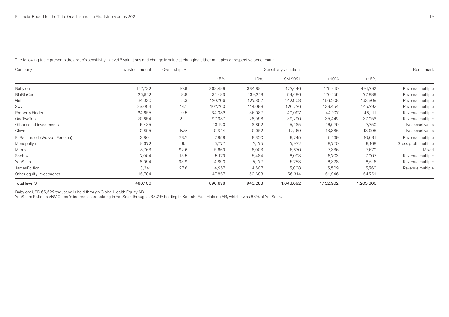| Company                         | Invested amount | Ownership, % | Sensitivity valuation |         |           |           | Benchmark |                       |
|---------------------------------|-----------------|--------------|-----------------------|---------|-----------|-----------|-----------|-----------------------|
|                                 |                 |              | $-15%$                | $-10%$  | 9M 2021   | $+10%$    | $+15%$    |                       |
| Babylon                         | 127,732         | 10.9         | 363,499               | 384,881 | 427,646   | 470,410   | 491,792   | Revenue multiple      |
| BlaBlaCar                       | 126,912         | 8.8          | 131,483               | 139,218 | 154,686   | 170,155   | 177,889   | Revenue multiple      |
| Gett                            | 64,030          | 5.3          | 120,706               | 127,807 | 142,008   | 156,208   | 163,309   | Revenue multiple      |
| Swvl                            | 33,004          | 14.1         | 107,760               | 114,098 | 126,776   | 139,454   | 145,792   | Revenue multiple      |
| Property Finder                 | 24,655          | 9.5          | 34,082                | 36,087  | 40,097    | 44,107    | 46,111    | Revenue multiple      |
| OneTwoTrip                      | 20,654          | 21.1         | 27,387                | 28,998  | 32,220    | 35,442    | 37,053    | Revenue multiple      |
| Other scout investments         | 15,435          |              | 13,120                | 13,892  | 15,435    | 16,979    | 17,750    | Net asset value       |
| Glovo                           | 10,605          | N/A          | 10,344                | 10,952  | 12,169    | 13,386    | 13,995    | Net asset value       |
| El Basharsoft (Wuzzuf, Forasna) | 3,801           | 23.7         | 7,858                 | 8,320   | 9,245     | 10,169    | 10,631    | Revenue multiple      |
| Monopoliya                      | 9,372           | 9.1          | 6,777                 | 7,175   | 7,972     | 8,770     | 9,168     | Gross profit multiple |
| Merro                           | 8,763           | 22.6         | 5,669                 | 6,003   | 6,670     | 7,336     | 7,670     | Mixed                 |
| Shohoz                          | 7,004           | 15.5         | 5,179                 | 5,484   | 6,093     | 6,703     | 7,007     | Revenue multiple      |
| YouScan                         | 8,094           | 33.2         | 4,890                 | 5,177   | 5,753     | 6,328     | 6,616     | Revenue multiple      |
| JamesEdition                    | 3,341           | 27.6         | 4,257                 | 4,507   | 5,008     | 5,509     | 5,760     | Revenue multiple      |
| Other equity investments        | 16,704          |              | 47,867                | 50,683  | 56,314    | 61,946    | 64,761    |                       |
| Total level 3                   | 480,106         |              | 890,878               | 943,283 | 1,048,092 | 1,152,902 | 1,205,306 |                       |

The following table presents the group's sensitivity in level 3 valuations and change in value at changing either multiples or respective benchmark.

Babylon: USD 65,522 thousand is held through Global Health Equity AB.

YouScan: Reflects VNV Global's indirect shareholding in YouScan through a 33.2% holding in Kontakt East Holding AB, which owns 63% of YouScan.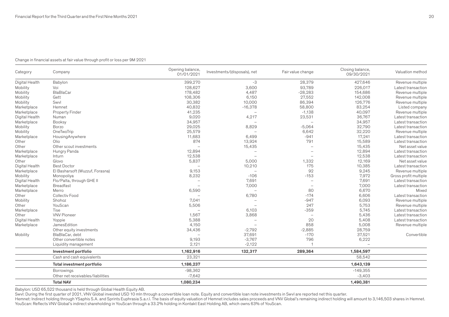# Change in financial assets at fair value through profit or loss per 9M 2021

| Category             | Company                           | Opening balance,<br>01/01/2021 | Investments/(disposals), net | Fair value change        | Closing balance,<br>09/30/2021 | Valuation method      |
|----------------------|-----------------------------------|--------------------------------|------------------------------|--------------------------|--------------------------------|-----------------------|
| Digital Health       | Babylon                           | 399,270                        | -3                           | 28,379                   | 427,646                        | Revenue multiple      |
| Mobility             | Voi                               | 128,627                        | 3,600                        | 93,789                   | 226,017                        | Latest transaction    |
| Mobility             | <b>BlaBlaCar</b>                  | 178,482                        | 4,487                        | $-28,283$                | 154,686                        | Revenue multiple      |
| Mobility             | Gett                              | 108,306                        | 6,150                        | 27,552                   | 142,008                        | Revenue multiple      |
| Mobility             | Swyl                              | 30,382                         | 10,000                       | 86,394                   | 126,776                        | Revenue multiple      |
| Marketplace          | Hemnet                            | 40,832                         | $-16,378$                    | 58,800                   | 83,254                         | Listed company        |
| Marketplace          | <b>Property Finder</b>            | 41,235                         |                              | $-1,138$                 | 40,097                         | Revenue multiple      |
| Digital Health       | Numan                             | 9,020                          | 4,217                        | 23,531                   | 36,767                         | Latest transaction    |
| Marketplace          | <b>Booksy</b>                     | 34,957                         |                              |                          | 34,957                         | Latest transaction    |
| Mobility             | Borzo                             | 29,025                         | 8,829                        | $-5,064$                 | 32,790                         | Latest transaction    |
| Mobility             | OneTwoTrip                        | 25,579                         |                              | 6,642                    | 32,220                         | Revenue multiple      |
| Marketplace          | HousingAnywhere                   | 11,683                         | 6,499                        | $-941$                   | 17,241                         | Latest transactior    |
| Other                | Olio                              | 874                            | 13,924                       | 791                      | 15,589                         | Latest transaction    |
| Other                | Other scout investments           |                                | 15,435                       |                          | 15,435                         | Net asset value       |
| Marketplace          | Hungry Panda                      | 12,894                         |                              |                          | 12,894                         | Latest transaction    |
| Marketplace          | Inturn                            | 12,538                         | $\overline{\phantom{0}}$     |                          | 12,538                         | Latest transaction    |
| Other                | Glovo                             | 5,837                          | 5,000                        | 1,332                    | 12,169                         | Net asset value       |
| Digital Health       | <b>Best Doctor</b>                |                                | 10,210                       | 175                      | 10,385                         | Latest transaction    |
| Marketplace          | El Basharsoft (Wuzzuf, Forasna)   | 9,153                          |                              | 92                       | 9,245                          | Revenue multiple      |
| Mobility             | Monopoliya                        | 8,232                          | $-106$                       | $-153$                   | 7,972                          | Gross profit multiple |
| Digital Health       | Flo/Palta, through GHE II         |                                | 7,691                        |                          | 7,691                          | Latest transaction    |
| Marketplace          | <b>Breadfast</b>                  |                                | 7,000                        | $\overline{\phantom{0}}$ | 7,000                          | Latest transaction    |
| Marketplace          | Merro                             | 6,590                          | $\overline{\phantom{0}}$     | 80                       | 6,670                          | Mixed                 |
| Other                | Collectiv Food                    |                                | 6,780                        | $-174$                   | 6,606                          | Latest transaction    |
| Mobility             | Shohoz                            | 7,041                          |                              | $-947$                   | 6,093                          | Revenue multiple      |
| Other                | YouScan                           | 5,506                          | $\overline{\phantom{0}}$     | 247                      | 5,753                          | Revenue multiple      |
|                      | Tise                              |                                | 6,103                        | $-359$                   | 5,745                          | Latest transaction    |
| Marketplace<br>Other | <b>VNV Pioneer</b>                | 1,567                          | 3,868                        |                          | 5,436                          | Latest transaction    |
|                      |                                   |                                |                              | 20                       | 5,408                          |                       |
| Digital Health       | Yoppie                            | 5,388<br>4,150                 |                              | 858                      |                                | Latest transaction    |
| Marketplace          | JamesEdition                      |                                |                              |                          | 5,008                          | Revenue multiple      |
|                      | Other equity investments          | 34,436                         | $-2,792$                     | $-2,885$                 | 28,759                         |                       |
| Mobility             | BlaBlaCar, debt                   |                                | 37,691                       | $-170$                   | 37,521                         | Convertible           |
|                      | Other convertible notes           | 9,193                          | $-3,767$                     | 796                      | 6,222                          |                       |
|                      | Liquidity management              | 2,121                          | $-2,122$                     |                          |                                |                       |
|                      | Investment portfolio              | 1,162,916                      | 132,317                      | 289,364                  | 1,584,597                      |                       |
|                      | Cash and cash equivalents         | 23,321                         |                              |                          | 58,542                         |                       |
|                      | Total investment portfolio        | 1,186,237                      |                              |                          | 1,643,139                      |                       |
|                      | Borrowings                        | $-98,362$                      |                              |                          | $-149,355$                     |                       |
|                      | Other net receivables/liabilities | $-7,642$                       |                              |                          | $-3,403$                       |                       |
|                      | <b>Total NAV</b>                  | 1,080,234                      |                              |                          | 1,490,381                      |                       |

Babylon: USD 65,522 thousand is held through Global Health Equity AB.

Swvl: During the first quarter of 2021, VNV Global invested USD 10 mln through a convertible loan note. Equity and convertible loan note investments in Swvl are reported net this quarter.

Hemnet: Indirect holding through YSaphis S.A. and Sprints Euphrasia S.a.r.l. The basis of equity valuation of Hemnet includes sales proceeds and VNV Global's remaining indirect holding will amount to 3,146,503 shares in He YouScan: Reflects VNV Global's indirect shareholding in YouScan through a 33.2% holding in Kontakt East Holding AB, which owns 63% of YouScan.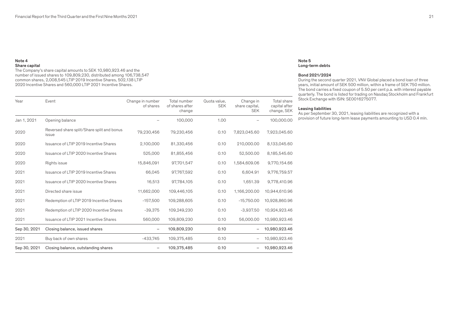### Note 4 Share capital

The Company's share capital amounts to SEK 10,980,923.46 and the number of issued shares to 109,809,230, distributed among 106,738,547 common shares, 2,008,545 LTIP 2019 Incentive Shares, 502,138 LTIP 2020 Incentive Shares and 560,000 LTIP 2021 Incentive Shares.

| Year         | Event                                               | Change in number<br>of shares | Total number<br>of shares after<br>change | Quota value,<br><b>SEK</b> | Change in<br>share capital,<br><b>SEK</b> | Total share<br>capital after<br>change, SEK |
|--------------|-----------------------------------------------------|-------------------------------|-------------------------------------------|----------------------------|-------------------------------------------|---------------------------------------------|
| Jan 1, 2021  | Opening balance                                     |                               | 100,000                                   | 1.00                       |                                           | 100.000.00                                  |
| 2020         | Reversed share split/Share split and bonus<br>issue | 79,230,456                    | 79,230,456                                | 0.10                       | 7,823,045.60                              | 7,923,045.60                                |
| 2020         | Issuance of LTIP 2019 Incentive Shares              | 2,100,000                     | 81,330,456                                | 0.10                       | 210,000.00                                | 8,133,045.60                                |
| 2020         | Issuance of LTIP 2020 Incentive Shares              | 525,000                       | 81,855,456                                | 0.10                       | 52,500.00                                 | 8,185,545.60                                |
| 2020         | Rights issue                                        | 15,846,091                    | 97,701,547                                | 0.10                       | 1,584,609.06                              | 9,770,154.66                                |
| 2021         | Issuance of LTIP 2019 Incentive Shares              | 66,045                        | 97,767,592                                | 0.10                       | 6,604.91                                  | 9,776,759.57                                |
| 2021         | Issuance of LTIP 2020 Incentive Shares              | 16,513                        | 97,784,105                                | 0.10                       | 1,651.39                                  | 9,778,410.96                                |
| 2021         | Directed share issue                                | 11,662,000                    | 109,446,105                               | 0.10                       | 1,166,200.00                              | 10,944,610.96                               |
| 2021         | Redemption of LTIP 2019 Incentive Shares            | $-157,500$                    | 109,288,605                               | 0.10                       | $-15,750.00$                              | 10,928,860.96                               |
| 2021         | Redemption of LTIP 2020 Incentive Shares            | $-39,375$                     | 109,249,230                               | 0.10                       | $-3,937.50$                               | 10,924,923.46                               |
| 2021         | Issuance of LTIP 2021 Incentive Shares              | 560,000                       | 109,809,230                               | 0.10                       | 56,000.00                                 | 10,980,923.46                               |
| Sep 30, 2021 | Closing balance, issued shares                      | $\qquad \qquad -$             | 109,809,230                               | 0.10                       |                                           | 10,980,923.46                               |
| 2021         | Buy back of own shares                              | $-433,745$                    | 109,375,485                               | 0.10                       |                                           | 10,980,923.46                               |
| Sep 30, 2021 | Closing balance, outstanding shares                 |                               | 109,375,485                               | 0.10                       |                                           | 10,980,923.46                               |

### Note 5 Long-term debts

### Bond 2021/2024

During the second quarter 2021, VNV Global placed a bond loan of three years, initial amount of SEK 500 million, within a frame of SEK 750 million. The bond carries a fixed coupon of 5.50 per cent p.a. with interest payable quarterly. The bond is listed for trading on Nasdaq Stockholm and Frankfurt Stock Exchange with ISIN: SE0016275077.

# Leasing liabilities

As per September 30, 2021, leasing liabilities are recognized with a provision of future long-term lease payments amounting to USD 0.4 mln.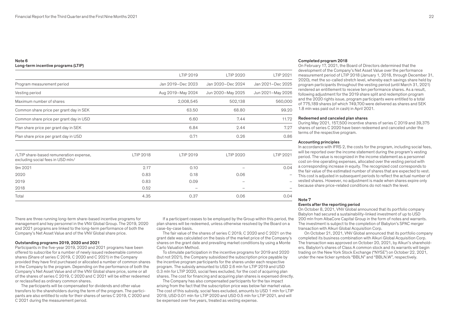# Note 6 Long-term incentive programs (LTIP)

|                                                                              |           | LTIP 2019                | <b>LTIP 2020</b>  | LTIP 2021         |
|------------------------------------------------------------------------------|-----------|--------------------------|-------------------|-------------------|
| Program measurement period                                                   |           | Jan 2019-Dec 2023        | Jan 2020-Dec 2024 | Jan 2021-Dec 2025 |
| Vesting period                                                               |           | Aug 2019-May 2024        | Jun 2020-May 2025 | Jun 2021-May 2026 |
| Maximum number of shares                                                     |           | 2,008,545                | 502,138           | 560,000           |
| Common share price per grant day in SEK                                      |           | 63.50                    | 68.80             | 99.20             |
| Common share price per grant day in USD                                      |           | 6.60                     | 7.44              | 11.72             |
| Plan share price per grant day in SEK                                        |           | 6.84                     | 2.44              | 7.27              |
| Plan share price per grant day in USD                                        |           | 0.71                     | 0.26              | 0.86              |
| /LTIP share-based remuneration expense,<br>excluding social fees in USD mln/ | LTIP 2018 | LTIP 2019                | <b>LTIP 2020</b>  | LTIP 2021         |
| 9m 2021                                                                      | 2.17      | 0.10                     |                   | 0.04              |
| 2020                                                                         | 0.83      | 0.18                     | 0.06              |                   |
| 2019                                                                         | 0.83      | 0.09                     |                   |                   |
| 2018                                                                         | 0.52      | $\overline{\phantom{0}}$ |                   |                   |
| Total                                                                        | 4.35      | 0.37                     | 0.06              | 0.04              |

There are three running long-term share-based incentive programs for management and key personnel in the VNV Global Group. The 2019, 2020 and 2021 programs are linked to the long-term performance of both the Company's Net Asset Value and of the VNV Global share price.

### Outstanding programs 2019, 2020 and 2021

Participants in the five-year 2019, 2020 and 2021 programs have been offered to subscribe for a number of newly issued redeemable common shares (Share of series C 2019, C 2020 and C 2021) in the Company provided they have first purchased or allocated a number of common shares in the Company to the program. Depending on the performance of both the Company's Net Asset Value and of the VNV Global share price, some or all of the shares of series C 2019, C 2020 and C 2021 will be either redeemed or reclassified as ordinary common shares.

The participants will be compensated for dividends and other value transfers to the shareholders during the term of the program. The participants are also entitled to vote for their shares of series C 2019, C 2020 and C 2021 during the measurement period.

If a participant ceases to be employed by the Group within this period, the plan shares will be redeemed, unless otherwise resolved by the Board on a case-by-case basis.

The fair value of the shares of series C 2019, C 2020 and C 2021 on the grant date was calculated on the basis of the market price of the Company's shares on the grant date and prevailing market conditions by using a Monte Carlo Valuation Method.

To stimulate participation in the incentive programs for 2019 and 2020 (but not 2021), the Company subsidized the subscription price payable by the incentive program participants for the shares under each respective program. The subsidy amounted to USD 2.6 mln for LTIP 2019 and USD 0.3 mln for LTIP 2020, social fees excluded, for the cost of acquiring plan shares. The cost for financing and acquiring plan shares is expensed directly.

The Company has also compensated participants for the tax impact arising from the fact that the subscription price was below fair market value. The cost of this subsidy, social fees excluded, amounts to USD 1 mln for LTIP 2019, USD 0.01 mln for LTIP 2020 and USD 0.5 mln for LTIP 2021, and will be expensed over five years, treated as vesting expense.

### Completed program 2018

On February 17, 2021, the Board of Directors determined that the development of the Company's Net Asset Value over the performance measurement period of LTIP 2018 (January 1, 2018, through December 31, 2020), met the so-called stretch level, whereby each savings share held by program participants throughout the vesting period (until March 31, 2021) rendered an entitlement to receive ten performance shares. As a result, following adjustment for the 2019 share split and redemption program and the 2020 rights issue, program participants were entitled to a total of 775,189 shares (of which 749,700 were delivered as shares and SEK 1.8 mln was paid out in cash) in April 2021.

### Redeemed and canceled plan shares

During May 2021, 157,500 incentive shares of series C 2019 and 39,375 shares of series C 2020 have been redeemed and canceled under the terms of the respective program.

### Accounting principles

In accordance with IFRS 2, the costs for the program, including social fees, will be reported over the income statement during the program's vesting period. The value is recognized in the income statement as a personnel cost on-line operating expenses, allocated over the vesting period with a corresponding increase in equity. The recognized cost corresponds to the fair value of the estimated number of shares that are expected to vest. This cost is adjusted in subsequent periods to reflect the actual number of vested shares. However, no adjustment is made when shares expire only because share price-related conditions do not reach the level.

#### Note 7

#### Events after the reporting period

On October 8, 2021, VNV Global announced that its portfolio company Babylon had secured a sustainability-linked investment of up to USD 200 mln from AlbaCore Capital Group in the form of notes and warrants. The investment is subject to the completion of Babylon's SPAC merger transaction with Alkuri Global Acquisition Corp.

On October 21, 2021, VNV Global announced that its portfolio company completed its business combination with Alkuri Global Acquisition Corp. The transaction was approved on October 20, 2021, by Alkuri's shareholders. Babylon's shares of Class A common stock and its warrants will begin trading on the New York Stock Exchange ("NYSE") on October 22, 2021, under the new ticker symbols "BBLN" and "BBLN.W", respectively.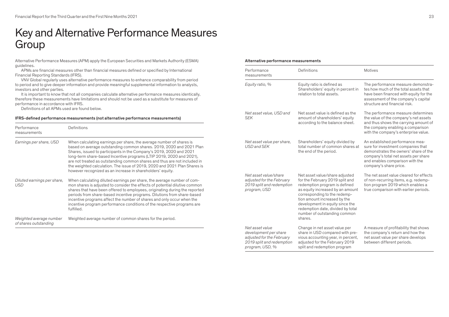# Key and Alternative Performance Measures Group

Alternative Performance Measures (APM) apply the European Securities and Markets Authority (ESMA) guidelines.

APMs are financial measures other than financial measures defined or specified by International Financial Reporting Standards (IFRS).

VNV Global regularly uses alternative performance measures to enhance comparability from period to period and to give deeper information and provide meaningful supplemental information to analysts, investors and other parties.

It is important to know that not all companies calculate alternative performance measures identically, therefore these measurements have limitations and should not be used as a substitute for measures of performance in accordance with IFRS.

Definitions of all APMs used are found below.

# IFRS-defined performance measurements (not alternative performance measurements)

| Performance<br>measurements                                       | Definitions                                                                                                                                                                                                                                                                                                                                                                                                                                                                                                         |
|-------------------------------------------------------------------|---------------------------------------------------------------------------------------------------------------------------------------------------------------------------------------------------------------------------------------------------------------------------------------------------------------------------------------------------------------------------------------------------------------------------------------------------------------------------------------------------------------------|
| Earnings per share, USD                                           | When calculating earnings per share, the average number of shares is<br>based on average outstanding common shares. 2019, 2020 and 2021 Plan<br>Shares, issued to participants in the Company's 2019, 2020 and 2021<br>long-term share-based Incentive programs (LTIP 2019, 2020 and 2021),<br>are not treated as outstanding common shares and thus are not included in<br>the weighted calculation. The issue of 2019, 2020 and 2021 Plan Shares is<br>however recognized as an increase in shareholders' equity. |
| Diluted earnings per share,<br>USD.                               | When calculating diluted earnings per share, the average number of com-<br>mon shares is adjusted to consider the effects of potential dilutive common<br>shares that have been offered to employees, originating during the reported<br>periods from share-based incentive programs. Dilutions from share-based<br>incentive programs affect the number of shares and only occur when the<br>incentive program performance conditions of the respective programs are<br>fulfilled.                                 |
| Weighted average number<br>المسائلة والمتحلول والمستحدث والمستحدث | Weighted average number of common shares for the period.                                                                                                                                                                                                                                                                                                                                                                                                                                                            |

of shares outstanding

### Alternative performance measurements

| Performance<br>measurements                                                                                           | Definitions                                                                                                                                                                                                                                                                                                               | Motives                                                                                                                                                                                                             |
|-----------------------------------------------------------------------------------------------------------------------|---------------------------------------------------------------------------------------------------------------------------------------------------------------------------------------------------------------------------------------------------------------------------------------------------------------------------|---------------------------------------------------------------------------------------------------------------------------------------------------------------------------------------------------------------------|
| Equity ratio, %                                                                                                       | Equity ratio is defined as<br>Shareholders' equity in percent in<br>relation to total assets.                                                                                                                                                                                                                             | The performance measure demonstra-<br>tes how much of the total assets that<br>have been financed with equity for the<br>assessment of the company's capital<br>structure and financial risk.                       |
| Net asset value, USD and<br><b>SEK</b>                                                                                | Net asset value is defined as the<br>amount of shareholders' equity<br>according to the balance sheet.                                                                                                                                                                                                                    | The performance measure determines<br>the value of the company's net assets<br>and thus shows the carrying amount of<br>the company enabling a comparison<br>with the company's enterprise value.                   |
| Net asset value per share,<br><b>USD and SEK</b>                                                                      | Shareholders' equity divided by<br>total number of common shares at<br>the end of the period.                                                                                                                                                                                                                             | An established performance mea-<br>sure for investment companies that<br>demonstrates the owners' share of the<br>company's total net assets per share<br>and enables comparison with the<br>company's share price. |
| Net asset value/share<br>adjusted for the February<br>2019 split and redemption<br>program, USD                       | Net asset value/share adjusted<br>for the February 2019 split and<br>redemption program is defined<br>as equity increased by an amount<br>corresponding to the redemp-<br>tion amount increased by the<br>development in equity since the<br>redemption date, divided by total<br>number of outstanding common<br>shares. | The net asset value cleared for effects<br>of non-recurring items, e.g. redemp-<br>tion program 2019 which enables a<br>true comparison with earlier periods.                                                       |
| Net asset value<br>development per share<br>adjusted for the February<br>2019 split and redemption<br>program, USD, % | Change in net asset value per<br>share in USD compared with pre-<br>vious accounting year, in percent,<br>adjusted for the February 2019<br>split and redemption program                                                                                                                                                  | A measure of profitability that shows<br>the company's return and how the<br>net asset value per share develops<br>between different periods.                                                                       |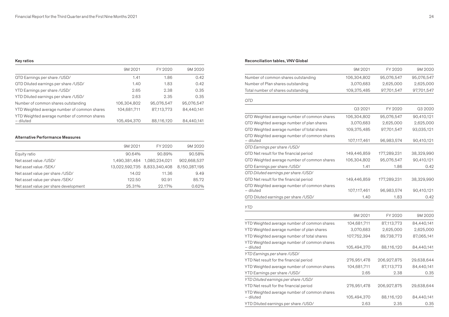# Key ratios

|                                                           | 9M 2021     | FY 2020    | 9M 2020    |
|-----------------------------------------------------------|-------------|------------|------------|
| QTD Earnings per share /USD/                              | 1.41        | 1.86       | 0.42       |
| QTD Diluted earnings per share /USD/                      | 1.40        | 1.83       | 0.42       |
| YTD Earnings per share /USD/                              | 2.65        | 2.38       | 0.35       |
| YTD Diluted earnings per share /USD/                      | 2.63        | 2.35       | 0.35       |
| Number of common shares outstanding                       | 106.304.802 | 95,076,547 | 95,076,547 |
| YTD Weighted average number of common shares              | 104,681,711 | 87,113,773 | 84,440,141 |
| YTD Weighted average number of common shares<br>- diluted | 105,494,370 | 88,116,120 | 84,440,141 |

# Alternative Performance Measures

|                                       | 9M 2021 | FY 2020                      | 9M 2020       |
|---------------------------------------|---------|------------------------------|---------------|
| Equity ratio                          | 90.64%  | 90.89%                       | 90.58%        |
| Net asset value / USD/                |         | 1,490,381,484 1,080,234,021  | 902.668.537   |
| Net asset value /SEK/                 |         | 13,022,592,735 8,833,340,408 | 8.150.287.195 |
| Net asset value per share /USD/       | 14.02   | 11.36                        | 9.49          |
| Net asset value per share /SEK/       | 122.50  | 92.91                        | 85.72         |
| Net asset value per share development | 25.31%  | 22.17%                       | 0.62%         |

# Reconciliation tables, VNV Global

|                                                                                                                                 | 9M 2021     | FY 2020     | 9M 2020    |
|---------------------------------------------------------------------------------------------------------------------------------|-------------|-------------|------------|
| Number of common shares outstanding                                                                                             | 106,304,802 | 95,076,547  | 95,076,547 |
| Number of Plan shares outstanding                                                                                               | 3,070,683   | 2,625,000   | 2,625,000  |
| Total number of shares outstanding                                                                                              | 109,375,485 | 97,701,547  | 97,701,547 |
| <b>QTD</b>                                                                                                                      |             |             |            |
|                                                                                                                                 | Q3 2021     | FY 2020     | Q3 2020    |
| QTD Weighted average number of common shares                                                                                    | 106,304,802 | 95,076,547  | 90,410,121 |
| QTD Weighted average number of plan shares                                                                                      | 3,070,683   | 2,625,000   | 2,625,000  |
| QTD Weighted average number of total shares                                                                                     | 109,375,485 | 97,701,547  | 93,035,121 |
| QTD Weighted average number of common shares<br>- diluted                                                                       | 107,117,461 | 96,983,574  | 90,410,121 |
| QTD Earnings per share /USD/                                                                                                    |             |             |            |
| QTD Net result for the financial period                                                                                         | 149,446,859 | 177,289,231 | 38,329,990 |
| QTD Weighted average number of common shares                                                                                    | 106,304,802 | 95,076,547  | 90,410,121 |
| QTD Earnings per share /USD/                                                                                                    | 1.41        | 1.86        | 0.42       |
| OTD Diluted earnings per share /USD/                                                                                            |             |             |            |
| QTD Net result for the financial period                                                                                         | 149,446,859 | 177,289,231 | 38,329,990 |
| QTD Weighted average number of common shares<br>- diluted                                                                       | 107,117,461 | 96,983,574  | 90,410,121 |
| QTD Diluted earnings per share /USD/                                                                                            | 1.40        | 1.83        | 0.42       |
|                                                                                                                                 |             |             |            |
| <b>YTD</b>                                                                                                                      |             |             |            |
|                                                                                                                                 | 9M 2021     | FY 2020     | 9M 2020    |
| YTD Weighted average number of common shares                                                                                    | 104,681,711 | 87,113,773  | 84,440,141 |
| YTD Weighted average number of plan shares                                                                                      | 3,070,683   | 2,625,000   | 2,625,000  |
| YTD Weighted average number of total shares                                                                                     | 107,752,394 | 89,738,773  | 87,065,141 |
| YTD Weighted average number of common shares<br>- diluted                                                                       | 105,494,370 | 88,116,120  | 84,440,141 |
| YTD Earnings per share /USD/                                                                                                    |             |             |            |
| YTD Net result for the financial period                                                                                         | 276,951,478 | 206,927,875 | 29,638,644 |
| YTD Weighted average number of common shares                                                                                    | 104,681,711 | 87,113,773  | 84,440,141 |
| YTD Earnings per share /USD/                                                                                                    | 2.65        | 2.38        | 0.35       |
|                                                                                                                                 |             |             |            |
|                                                                                                                                 | 276,951,478 | 206,927,875 | 29,638,644 |
| - diluted                                                                                                                       | 105,494,370 | 88,116,120  | 84,440,141 |
| YTD Diluted earnings per share /USD/                                                                                            | 2.63        | 2.35        | 0.35       |
| YTD Diluted earnings per share /USD/<br>YTD Net result for the financial period<br>YTD Weighted average number of common shares |             |             |            |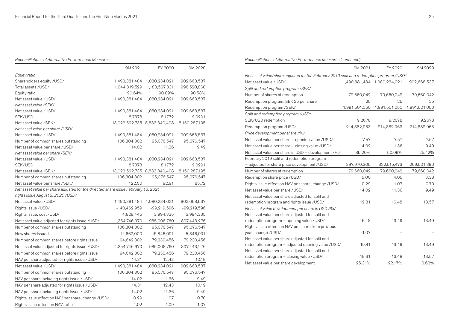Reconciliations of Alternative Performance Measures

|                                                                                    | 9M 2021                      | FY 2020       | 9M 2020       |
|------------------------------------------------------------------------------------|------------------------------|---------------|---------------|
| Equity ratio                                                                       |                              |               |               |
| Shareholders equity /USD/                                                          | 1,490,381,484                | 1,080,234,021 | 902,668,537   |
| Total assets /USD/                                                                 | 1,644,319,529                | 1,188,567,831 | 996,520,860   |
| Equity ratio                                                                       | 90.64%                       | 90.89%        | 90.58%        |
| Net asset value /USD/                                                              | 1,490,381,484                | 1,080,234,021 | 902,668,537   |
| Net asset value /SEK/                                                              |                              |               |               |
| Net asset value /USD/                                                              | 1,490,381,484                | 1,080,234,021 | 902,668,537   |
| SEK/USD                                                                            | 8.7378                       | 8.1772        | 9.0291        |
| Net asset value /SEK/                                                              | 13,022,592,735 8,833,340,408 |               | 8,150,287,195 |
| Net asset value per share /USD/                                                    |                              |               |               |
| Net asset value /USD/                                                              | 1,490,381,484                | 1,080,234,021 | 902,668,537   |
| Number of common shares outstanding                                                | 106,304,802                  | 95,076,547    | 95,076,547    |
| Net asset value per share / USD/                                                   | 14.02                        | 11.36         | 9.49          |
| Net asset value per share /SEK/                                                    |                              |               |               |
| Net asset value /USD/                                                              | 1,490,381,484                | 1,080,234,021 | 902,668,537   |
| SEK/USD                                                                            | 8.7378                       | 8.1772        | 9.0291        |
| Net asset value /SEK/                                                              | 13,022,592,735 8,833,340,408 |               | 8,150,287,195 |
| Number of common shares outstanding                                                | 106,304,802                  | 95,076,547    | 95,076,547    |
| Net asset value per share /SEK/                                                    | 122.50                       | 92.91         | 85.72         |
| Net asset value per share adjusted for the directed share issue February 18, 2021, |                              |               |               |
| rights issue August 3, 2020 / USD/                                                 |                              |               |               |
| Net asset value /USD/                                                              | 1,490,381,484                | 1,080,234,021 | 902,668,537   |
| Rights issue /USD/                                                                 | $-140,462,959$               | -99,219,596   | -99,219,596   |
| Rights issue, cost /USD/                                                           | 4,828,445                    | 3,994,335     | 3,994,335     |
| Net asset value adjusted for rights issue /USD/                                    | 1,354,746,970                | 985,008,760   | 807,443,276   |
| Number of common shares outstanding                                                | 106,304,802                  | 95,076,547    | 95,076,547    |
| New shares issued                                                                  | $-11,662,000$                | $-15,846,091$ | $-15,846,091$ |
| Number of common shares before rights issue                                        | 94,642,802                   | 79,230,456    | 79,230,456    |
| Net asset value adjusted for rights issue /USD/                                    | 1,354,746,970                | 985,008,760   | 807,443,276   |
| Number of common shares before rights issue                                        | 94,642,802                   | 79,230,456    | 79,230,456    |
| NAV per share adjusted for rights issue /USD/                                      | 14.31                        | 12.43         | 10.19         |
| Net asset value / USD/                                                             | 1,490,381,484                | 1,080,234,021 | 902,668,537   |
| Number of common shares outstanding                                                | 106,304,802                  | 95,076,547    | 95,076,547    |
| NAV per share including rights issue /USD/                                         | 14.02                        | 11.36         | 9.49          |
| NAV per share adjusted for rights issue /USD/                                      | 14.31                        | 12.43         | 10.19         |
| NAV per share including rights issue /USD/                                         | 14.02                        | 11.36         | 9.49          |
| Rights issue effect on NAV per share, change /USD/                                 | 0.29                         | 1.07          | 0.70          |
| Rights issue effect on NAV, ratio                                                  | 1.02                         | 1.09          | 1.07          |

Reconciliations of Alternative Performance Measures (continued)

|                                                                                         | 9M 2021       | FY 2020       | 9M 2020       |
|-----------------------------------------------------------------------------------------|---------------|---------------|---------------|
| Net asset value/share adjusted for the February 2019 split and redemption program /USD/ |               |               |               |
| Net asset value /USD/                                                                   | 1,490,381,484 | 1,080,234,021 | 902,668,537   |
| Split and redemption program /SEK/                                                      |               |               |               |
| Number of shares at redemption                                                          | 79,660,042    | 79,660,042    | 79,660,042    |
| Redemption program, SEK 25 per share                                                    | 25            | 25            | 25            |
| Redemption program /SEK/                                                                | 1,991,501,050 | 1,991,501,050 | 1,991,501,050 |
| Split and redemption program /USD/                                                      |               |               |               |
| SEK/USD redemption                                                                      | 9.2678        | 9.2678        | 9.2678        |
| Redemption program /USD/                                                                | 214,882,963   | 214,882,963   | 214,882,963   |
| Price development per share /%/                                                         |               |               |               |
| Net asset value per share - opening value /USD/                                         | 7.57          | 7.57          | 7.57          |
| Net asset value per share - closing value /USD/                                         | 14.02         | 11.36         | 9.49          |
| Net asset value per share in USD - development /%/                                      | 85.20%        | 50.09%        | 25.42%        |
| February 2019 split and redemption program                                              |               |               |               |
| - adjusted for share price development / USD/                                           | 397,970,305   | 322,515,473   | 269,501,390   |
| Number of shares at redemption                                                          | 79,660,042    | 79,660,042    | 79,660,042    |
| Redemption share price /USD/                                                            | 5.00          | 4.05          | 3.38          |
| Rights issue effect on NAV per share, change /USD/                                      | 0.29          | 1.07          | 0.70          |
| Net asset value per share /USD/                                                         | 14.02         | 11.36         | 9.49          |
| Net asset value per share adjusted for split and                                        |               |               |               |
| redemption program and rights issue /USD/                                               | 19.31         | 16.48         | 13.57         |
| Net asset value development per share in USD /%/                                        |               |               |               |
| Net asset value per share adjusted for split and                                        |               |               |               |
| redemption program - opening value /USD/                                                | 16.48         | 13.49         | 13.49         |
| Rights issue effect on NAV per share from previous                                      |               |               |               |
| year, change /USD/                                                                      | $-1.07$       |               |               |
| Net asset value per share adjusted for split and                                        |               |               |               |
| redemption program - adjusted opening value /USD/                                       | 15.41         | 13.49         | 13.49         |
| Net asset value per share adjusted for split and                                        |               |               |               |
| redemption program - closing value /USD/                                                | 19.31         | 16.48         | 13.57         |
| Net asset value per share development                                                   | 25.31%        | 22.17%        | 0.62%         |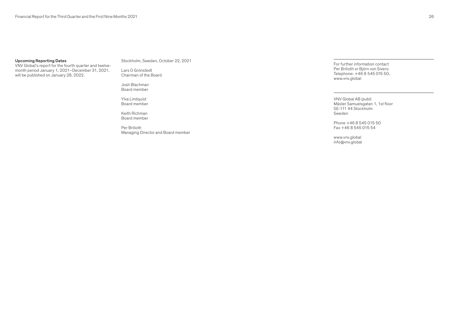# Upcoming Reporting Dates

VNV Global's report for the fourth quarter and twelvemonth period January 1, 2021–December 31, 2021, will be published on January 28, 2022.

Stockholm, Sweden, October 22, 2021

Lars O Grönstedt Chairman of the Board

Josh Blachman Board member

Ylva Lindquist Board member

Keith Richman Board member

Per Brilioth Managing Director and Board member For further information contact Per Brilioth or Björn von Sivers: Telephone: +46 8 545 015 50, [www.vnv.global](https://www.vnv.global/)

VNV Global AB (publ) Mäster Samuelsgatan 1, 1st floor SE-111 44 Stockholm Sweden

Phone +46 8 545 015 50 Fax +46 8 545 015 54

[www.vnv.global](https://www.vnv.global/) [info@vnv.global](mailto:info%40vnv.global?subject=)